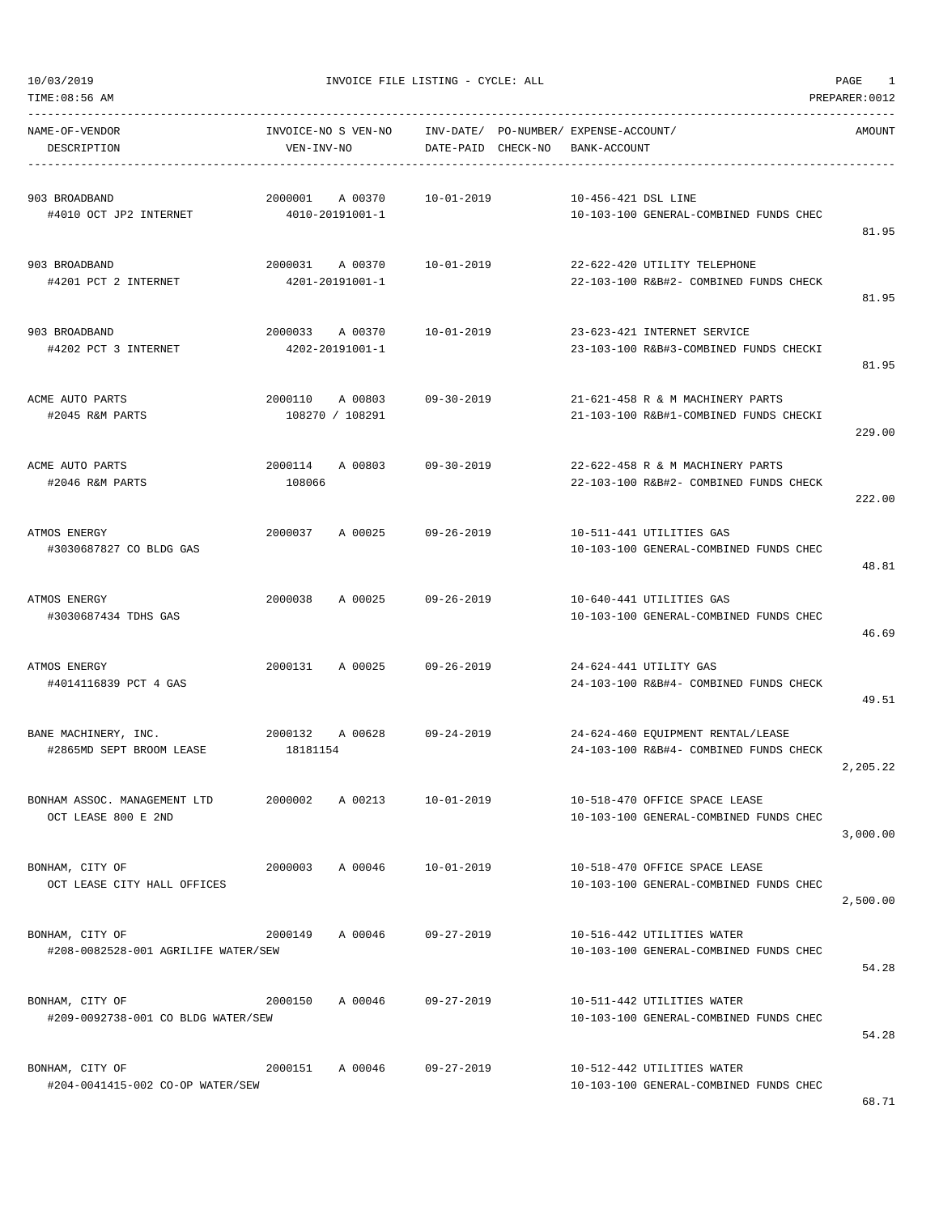| TIME:08:56 AM                                          |                                       |                    |                                                                             | PREPARER: 0012 |
|--------------------------------------------------------|---------------------------------------|--------------------|-----------------------------------------------------------------------------|----------------|
| NAME-OF-VENDOR<br>DESCRIPTION                          | INVOICE-NO S VEN-NO<br>VEN-INV-NO     | DATE-PAID CHECK-NO | INV-DATE/ PO-NUMBER/ EXPENSE-ACCOUNT/<br>BANK-ACCOUNT                       | AMOUNT         |
| 903 BROADBAND<br>#4010 OCT JP2 INTERNET                | 2000001<br>A 00370<br>4010-20191001-1 | $10 - 01 - 2019$   | 10-456-421 DSL LINE<br>10-103-100 GENERAL-COMBINED FUNDS CHEC               | 81.95          |
| 903 BROADBAND<br>#4201 PCT 2 INTERNET                  | 2000031 A 00370<br>4201-20191001-1    | 10-01-2019         | 22-622-420 UTILITY TELEPHONE<br>22-103-100 R&B#2- COMBINED FUNDS CHECK      | 81.95          |
| 903 BROADBAND<br>#4202 PCT 3 INTERNET                  | 2000033<br>A 00370<br>4202-20191001-1 | $10 - 01 - 2019$   | 23-623-421 INTERNET SERVICE<br>23-103-100 R&B#3-COMBINED FUNDS CHECKI       | 81.95          |
| ACME AUTO PARTS<br>#2045 R&M PARTS                     | 2000110<br>A 00803<br>108270 / 108291 | $09 - 30 - 2019$   | 21-621-458 R & M MACHINERY PARTS<br>21-103-100 R&B#1-COMBINED FUNDS CHECKI  | 229.00         |
| ACME AUTO PARTS<br>#2046 R&M PARTS                     | 2000114<br>A 00803<br>108066          | $09 - 30 - 2019$   | 22-622-458 R & M MACHINERY PARTS<br>22-103-100 R&B#2- COMBINED FUNDS CHECK  | 222.00         |
| ATMOS ENERGY<br>#3030687827 CO BLDG GAS                | 2000037<br>A 00025                    | $09 - 26 - 2019$   | 10-511-441 UTILITIES GAS<br>10-103-100 GENERAL-COMBINED FUNDS CHEC          | 48.81          |
| ATMOS ENERGY<br>#3030687434 TDHS GAS                   | 2000038<br>A 00025                    | $09 - 26 - 2019$   | 10-640-441 UTILITIES GAS<br>10-103-100 GENERAL-COMBINED FUNDS CHEC          | 46.69          |
| ATMOS ENERGY<br>#4014116839 PCT 4 GAS                  | 2000131<br>A 00025                    | $09 - 26 - 2019$   | 24-624-441 UTILITY GAS<br>24-103-100 R&B#4- COMBINED FUNDS CHECK            | 49.51          |
| BANE MACHINERY, INC.<br>#2865MD SEPT BROOM LEASE       | 2000132<br>A 00628<br>18181154        | $09 - 24 - 2019$   | 24-624-460 EQUIPMENT RENTAL/LEASE<br>24-103-100 R&B#4- COMBINED FUNDS CHECK | 2,205.22       |
| BONHAM ASSOC. MANAGEMENT LTD<br>OCT LEASE 800 E 2ND    | 2000002<br>A 00213                    | $10 - 01 - 2019$   | 10-518-470 OFFICE SPACE LEASE<br>10-103-100 GENERAL-COMBINED FUNDS CHEC     | 3,000.00       |
| BONHAM, CITY OF<br>OCT LEASE CITY HALL OFFICES         | 2000003<br>A 00046                    | 10-01-2019         | 10-518-470 OFFICE SPACE LEASE<br>10-103-100 GENERAL-COMBINED FUNDS CHEC     | 2,500.00       |
| BONHAM, CITY OF<br>#208-0082528-001 AGRILIFE WATER/SEW | 2000149<br>A 00046                    | $09 - 27 - 2019$   | 10-516-442 UTILITIES WATER<br>10-103-100 GENERAL-COMBINED FUNDS CHEC        | 54.28          |
| BONHAM, CITY OF<br>#209-0092738-001 CO BLDG WATER/SEW  | A 00046<br>2000150                    | 09-27-2019         | 10-511-442 UTILITIES WATER<br>10-103-100 GENERAL-COMBINED FUNDS CHEC        | 54.28          |
| BONHAM, CITY OF<br>#204-0041415-002 CO-OP WATER/SEW    | A 00046<br>2000151                    | 09-27-2019         | 10-512-442 UTILITIES WATER<br>10-103-100 GENERAL-COMBINED FUNDS CHEC        |                |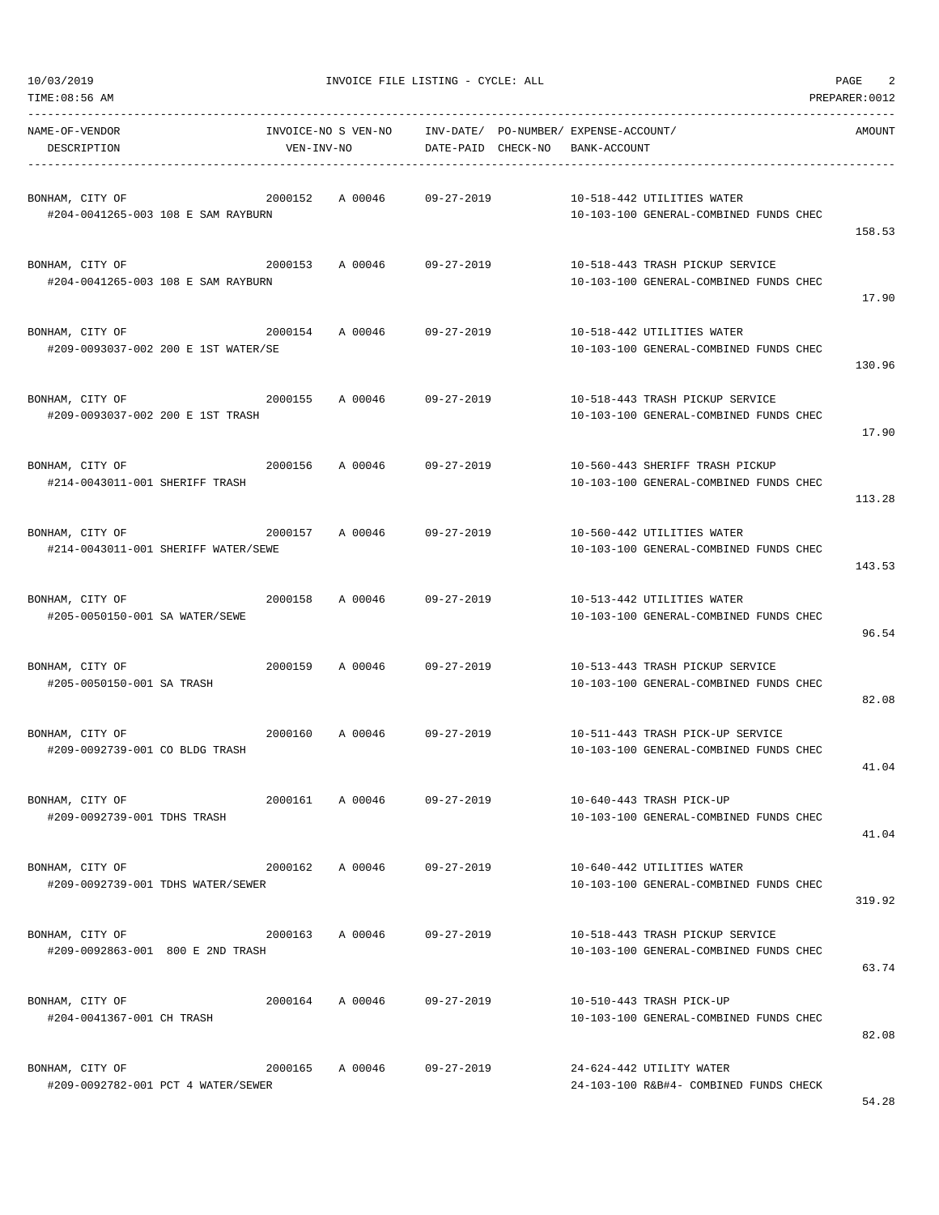| NAME-OF-VENDOR<br>DESCRIPTION<br>---------------------------------                   | INVOICE-NO S VEN-NO<br>VEN-INV-NO<br>----------------------- |                            |                    | INV-DATE/ PO-NUMBER/ EXPENSE-ACCOUNT/<br>DATE-PAID CHECK-NO BANK-ACCOUNT                      | AMOUNT |
|--------------------------------------------------------------------------------------|--------------------------------------------------------------|----------------------------|--------------------|-----------------------------------------------------------------------------------------------|--------|
| BONHAM, CITY OF<br>#204-0041265-003 108 E SAM RAYBURN                                | 2000152                                                      | A 00046 09-27-2019         |                    | 10-518-442 UTILITIES WATER<br>10-103-100 GENERAL-COMBINED FUNDS CHEC                          | 158.53 |
| BONHAM, CITY OF<br>#204-0041265-003 108 E SAM RAYBURN                                | 2000153                                                      | A 00046                    | 09-27-2019         | 10-518-443 TRASH PICKUP SERVICE<br>10-103-100 GENERAL-COMBINED FUNDS CHEC                     | 17.90  |
| BONHAM, CITY OF<br>#209-0093037-002 200 E 1ST WATER/SE                               |                                                              | 2000154 A 00046 09-27-2019 |                    | 10-518-442 UTILITIES WATER<br>10-103-100 GENERAL-COMBINED FUNDS CHEC                          | 130.96 |
| 2000155<br>BONHAM, CITY OF<br>#209-0093037-002 200 E 1ST TRASH                       |                                                              | A 00046 09-27-2019         |                    | 10-518-443 TRASH PICKUP SERVICE<br>10-103-100 GENERAL-COMBINED FUNDS CHEC                     | 17.90  |
| BONHAM, CITY OF<br>#214-0043011-001 SHERIFF TRASH                                    | 2000156                                                      | A 00046 09-27-2019         |                    | 10-560-443 SHERIFF TRASH PICKUP<br>10-103-100 GENERAL-COMBINED FUNDS CHEC                     | 113.28 |
| 2000157 A 00046 09-27-2019<br>BONHAM, CITY OF<br>#214-0043011-001 SHERIFF WATER/SEWE |                                                              |                            |                    | 10-560-442 UTILITIES WATER<br>10-103-100 GENERAL-COMBINED FUNDS CHEC                          | 143.53 |
| BONHAM, CITY OF<br>#205-0050150-001 SA WATER/SEWE                                    | 2000158                                                      | A 00046 09-27-2019         |                    | 10-513-442 UTILITIES WATER<br>10-103-100 GENERAL-COMBINED FUNDS CHEC                          | 96.54  |
| BONHAM, CITY OF<br>#205-0050150-001 SA TRASH                                         | 2000159                                                      | A 00046 09-27-2019         |                    | 10-513-443 TRASH PICKUP SERVICE<br>10-103-100 GENERAL-COMBINED FUNDS CHEC                     | 82.08  |
| BONHAM, CITY OF<br>#209-0092739-001 CO BLDG TRASH                                    | 2000160                                                      |                            | A 00046 09-27-2019 | 10-511-443 TRASH PICK-UP SERVICE<br>10-103-100 GENERAL-COMBINED FUNDS CHEC                    | 41.04  |
| BONHAM, CITY OF<br>#209-0092739-001 TDHS TRASH                                       |                                                              |                            |                    | 2000161 A 00046 09-27-2019 10-640-443 TRASH PICK-UP<br>10-103-100 GENERAL-COMBINED FUNDS CHEC | 41.04  |
| BONHAM, CITY OF<br>#209-0092739-001 TDHS WATER/SEWER                                 | 2000162                                                      | A 00046 09-27-2019         |                    | 10-640-442 UTILITIES WATER<br>10-103-100 GENERAL-COMBINED FUNDS CHEC                          | 319.92 |
| BONHAM, CITY OF<br>#209-0092863-001 800 E 2ND TRASH                                  | 2000163                                                      | A 00046 09-27-2019         |                    | 10-518-443 TRASH PICKUP SERVICE<br>10-103-100 GENERAL-COMBINED FUNDS CHEC                     | 63.74  |
| BONHAM, CITY OF<br>#204-0041367-001 CH TRASH                                         |                                                              | 2000164 A 00046 09-27-2019 |                    | 10-510-443 TRASH PICK-UP<br>10-103-100 GENERAL-COMBINED FUNDS CHEC                            | 82.08  |
| BONHAM, CITY OF<br>#209-0092782-001 PCT 4 WATER/SEWER                                | 2000165                                                      | A 00046                    | 09-27-2019         | 24-624-442 UTILITY WATER<br>24-103-100 R&B#4- COMBINED FUNDS CHECK                            |        |

-----------------------------------------------------------------------------------------------------------------------------------

TIME:08:56 AM PREPARER:0012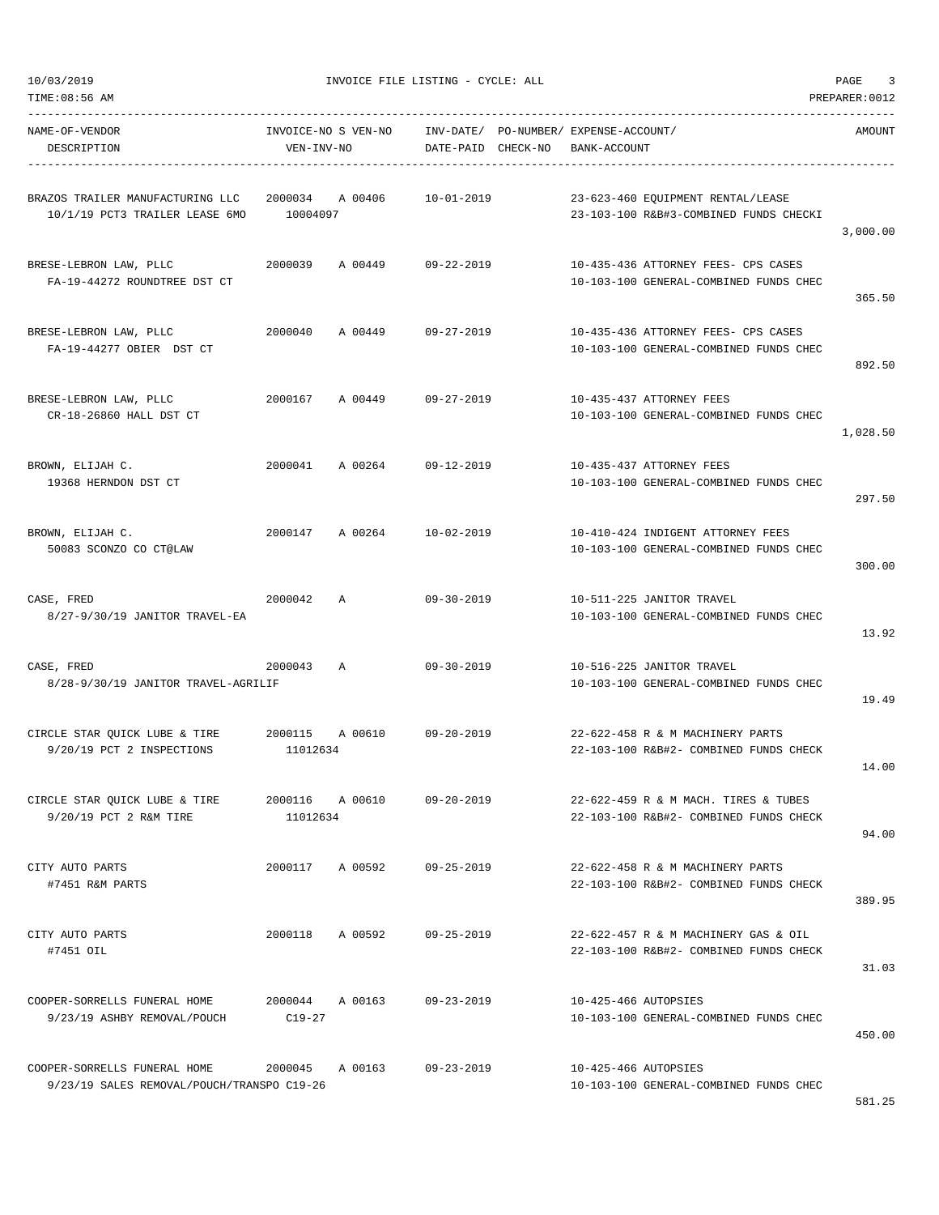| NAME-OF-VENDOR<br>DESCRIPTION                                               | VEN-INV-NO                  | INVOICE-NO S VEN-NO INV-DATE/ PO-NUMBER/ EXPENSE-ACCOUNT/ | DATE-PAID CHECK-NO BANK-ACCOUNT |                      |                                                                                | AMOUNT   |
|-----------------------------------------------------------------------------|-----------------------------|-----------------------------------------------------------|---------------------------------|----------------------|--------------------------------------------------------------------------------|----------|
| BRAZOS TRAILER MANUFACTURING LLC<br>10/1/19 PCT3 TRAILER LEASE 6MO 10004097 |                             | 2000034 A 00406                                           | 10-01-2019                      |                      | 23-623-460 EQUIPMENT RENTAL/LEASE<br>23-103-100 R&B#3-COMBINED FUNDS CHECKI    | 3,000.00 |
| BRESE-LEBRON LAW, PLLC<br>FA-19-44272 ROUNDTREE DST CT                      |                             | 2000039 A 00449 09-22-2019                                |                                 |                      | 10-435-436 ATTORNEY FEES- CPS CASES<br>10-103-100 GENERAL-COMBINED FUNDS CHEC  | 365.50   |
| BRESE-LEBRON LAW, PLLC<br>FA-19-44277 OBIER DST CT                          | 2000040                     | A 00449 09-27-2019                                        |                                 |                      | 10-435-436 ATTORNEY FEES- CPS CASES<br>10-103-100 GENERAL-COMBINED FUNDS CHEC  | 892.50   |
| BRESE-LEBRON LAW, PLLC<br>CR-18-26860 HALL DST CT                           |                             | 2000167 A 00449 09-27-2019                                |                                 |                      | 10-435-437 ATTORNEY FEES<br>10-103-100 GENERAL-COMBINED FUNDS CHEC             | 1,028.50 |
| BROWN, ELIJAH C.<br>19368 HERNDON DST CT                                    |                             | 2000041 A 00264 09-12-2019                                |                                 |                      | 10-435-437 ATTORNEY FEES<br>10-103-100 GENERAL-COMBINED FUNDS CHEC             | 297.50   |
| BROWN, ELIJAH C.<br>50083 SCONZO CO CT@LAW                                  |                             | 2000147 A 00264 10-02-2019                                |                                 |                      | 10-410-424 INDIGENT ATTORNEY FEES<br>10-103-100 GENERAL-COMBINED FUNDS CHEC    | 300.00   |
| CASE, FRED<br>8/27-9/30/19 JANITOR TRAVEL-EA                                | 2000042                     | A                                                         | 09-30-2019                      |                      | 10-511-225 JANITOR TRAVEL<br>10-103-100 GENERAL-COMBINED FUNDS CHEC            | 13.92    |
| 2000043 A<br>CASE, FRED<br>8/28-9/30/19 JANITOR TRAVEL-AGRILIF              |                             |                                                           | 09-30-2019                      |                      | 10-516-225 JANITOR TRAVEL<br>10-103-100 GENERAL-COMBINED FUNDS CHEC            | 19.49    |
| CIRCLE STAR QUICK LUBE & TIRE<br>9/20/19 PCT 2 INSPECTIONS                  | 11012634                    | 2000115 A 00610 09-20-2019                                |                                 |                      | 22-622-458 R & M MACHINERY PARTS<br>22-103-100 R&B#2- COMBINED FUNDS CHECK     | 14.00    |
| CIRCLE STAR QUICK LUBE & TIRE<br>9/20/19 PCT 2 R&M TIRE                     | 11012634                    | 2000116 A 00610                                           | 09-20-2019                      |                      | 22-622-459 R & M MACH. TIRES & TUBES<br>22-103-100 R&B#2- COMBINED FUNDS CHECK | 94.00    |
| CITY AUTO PARTS<br>#7451 R&M PARTS                                          | 2000117                     | A 00592 09-25-2019                                        |                                 |                      | 22-622-458 R & M MACHINERY PARTS<br>22-103-100 R&B#2- COMBINED FUNDS CHECK     | 389.95   |
| CITY AUTO PARTS<br>#7451 OIL                                                | 2000118                     | A 00592                                                   | $09 - 25 - 2019$                |                      | 22-622-457 R & M MACHINERY GAS & OIL<br>22-103-100 R&B#2- COMBINED FUNDS CHECK | 31.03    |
| COOPER-SORRELLS FUNERAL HOME<br>9/23/19 ASHBY REMOVAL/POUCH                 | 2000044 A 00163<br>$C19-27$ |                                                           | $09 - 23 - 2019$                | 10-425-466 AUTOPSIES | 10-103-100 GENERAL-COMBINED FUNDS CHEC                                         | 450.00   |
| COOPER-SORRELLS FUNERAL HOME<br>9/23/19 SALES REMOVAL/POUCH/TRANSPO C19-26  | 2000045 A 00163             |                                                           | 09-23-2019                      | 10-425-466 AUTOPSIES | 10-103-100 GENERAL-COMBINED FUNDS CHEC                                         |          |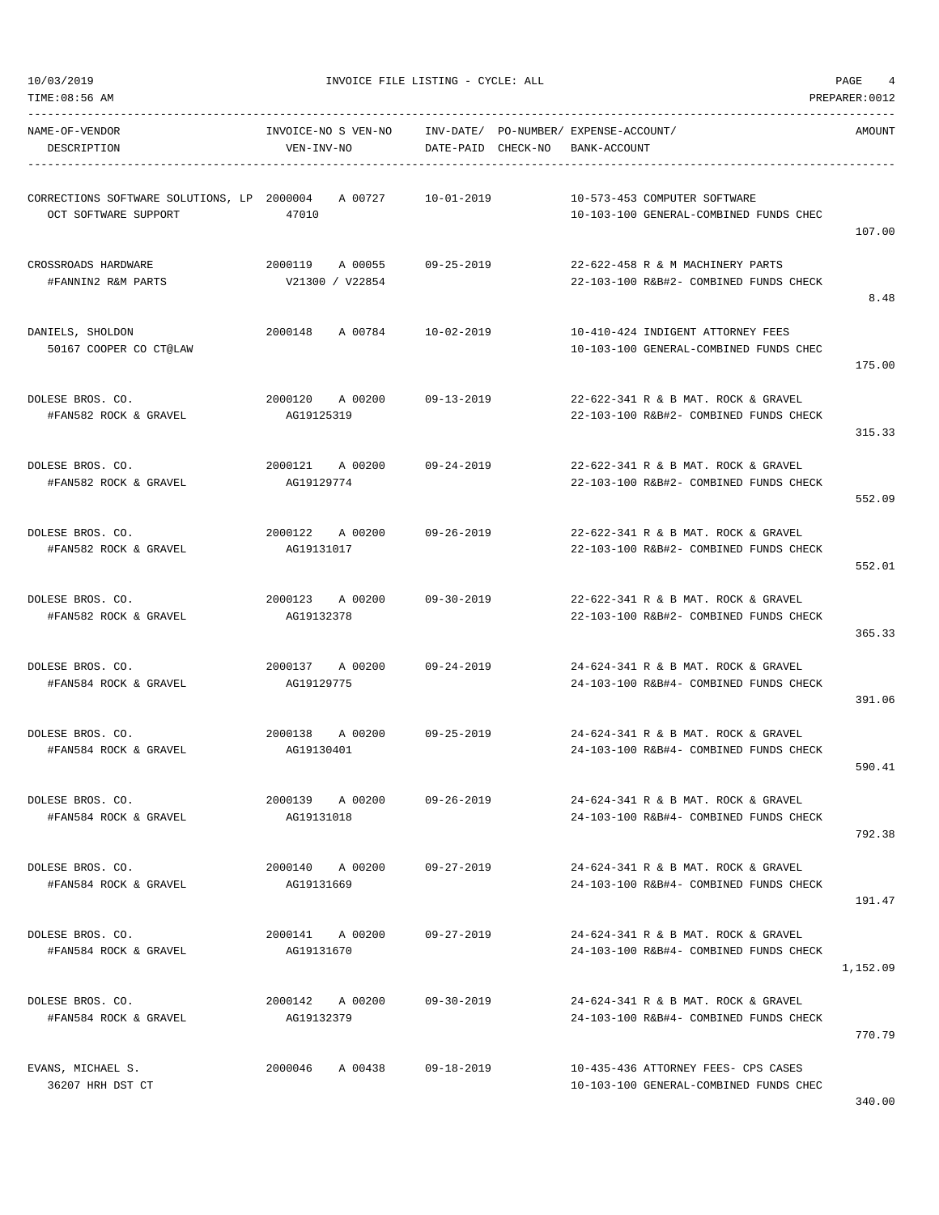TIME:08:56 AM PREPARER:0012

10/03/2019 INVOICE FILE LISTING - CYCLE: ALL PAGE 4

| NAME-OF-VENDOR<br>DESCRIPTION                                                         | INVOICE-NO S VEN-NO<br>VEN-INV-NO                          | INV-DATE/ PO-NUMBER/ EXPENSE-ACCOUNT/<br>DATE-PAID CHECK-NO | BANK-ACCOUNT                                                                  | AMOUNT   |
|---------------------------------------------------------------------------------------|------------------------------------------------------------|-------------------------------------------------------------|-------------------------------------------------------------------------------|----------|
| CORRECTIONS SOFTWARE SOLUTIONS, LP 2000004 A 00727 10-01-2019<br>OCT SOFTWARE SUPPORT | 47010                                                      |                                                             | 10-573-453 COMPUTER SOFTWARE<br>10-103-100 GENERAL-COMBINED FUNDS CHEC        | 107.00   |
| CROSSROADS HARDWARE<br>#FANNIN2 R&M PARTS                                             | 2000119 A 00055 09-25-2019<br>V21300 / V22854              |                                                             | 22-622-458 R & M MACHINERY PARTS<br>22-103-100 R&B#2- COMBINED FUNDS CHECK    | 8.48     |
| DANIELS, SHOLDON<br>50167 COOPER CO CT@LAW                                            | 2000148 A 00784 10-02-2019                                 |                                                             | 10-410-424 INDIGENT ATTORNEY FEES<br>10-103-100 GENERAL-COMBINED FUNDS CHEC   | 175.00   |
| DOLESE BROS. CO.<br>#FAN582 ROCK & GRAVEL                                             | 2000120 A 00200 09-13-2019<br>AG19125319                   |                                                             | 22-622-341 R & B MAT. ROCK & GRAVEL<br>22-103-100 R&B#2- COMBINED FUNDS CHECK | 315.33   |
| DOLESE BROS. CO.<br>#FAN582 ROCK & GRAVEL                                             | 2000121 A 00200 09-24-2019<br>AG19129774                   |                                                             | 22-622-341 R & B MAT. ROCK & GRAVEL<br>22-103-100 R&B#2- COMBINED FUNDS CHECK | 552.09   |
| DOLESE BROS. CO.<br>#FAN582 ROCK & GRAVEL                                             | 2000122       A  00200            09-26-2019<br>AG19131017 |                                                             | 22-622-341 R & B MAT. ROCK & GRAVEL<br>22-103-100 R&B#2- COMBINED FUNDS CHECK | 552.01   |
| DOLESE BROS. CO.<br>#FAN582 ROCK & GRAVEL                                             | 2000123 A 00200 09-30-2019<br>AG19132378                   |                                                             | 22-622-341 R & B MAT. ROCK & GRAVEL<br>22-103-100 R&B#2- COMBINED FUNDS CHECK | 365.33   |
| DOLESE BROS. CO.<br>#FAN584 ROCK & GRAVEL                                             | 2000137 A 00200 09-24-2019<br>AG19129775                   |                                                             | 24-624-341 R & B MAT. ROCK & GRAVEL<br>24-103-100 R&B#4- COMBINED FUNDS CHECK | 391.06   |
| DOLESE BROS. CO.<br>#FAN584 ROCK & GRAVEL                                             | 2000138 A 00200 09-25-2019<br>AG19130401                   |                                                             | 24-624-341 R & B MAT. ROCK & GRAVEL<br>24-103-100 R&B#4- COMBINED FUNDS CHECK | 590.41   |
| DOLESE BROS. CO.<br>#FAN584 ROCK & GRAVEL                                             | 2000139<br>A 00200<br>AG19131018                           | $09 - 26 - 2019$                                            | 24-624-341 R & B MAT. ROCK & GRAVEL<br>24-103-100 R&B#4- COMBINED FUNDS CHECK | 792.38   |
| DOLESE BROS. CO.<br>#FAN584 ROCK & GRAVEL                                             | 2000140 A 00200<br>AG19131669                              | 09-27-2019                                                  | 24-624-341 R & B MAT. ROCK & GRAVEL<br>24-103-100 R&B#4- COMBINED FUNDS CHECK | 191.47   |
| DOLESE BROS. CO.<br>#FAN584 ROCK & GRAVEL                                             | 2000141 A 00200<br>AG19131670                              | 09-27-2019                                                  | 24-624-341 R & B MAT. ROCK & GRAVEL<br>24-103-100 R&B#4- COMBINED FUNDS CHECK | 1,152.09 |
| DOLESE BROS. CO.<br>#FAN584 ROCK & GRAVEL                                             | 2000142 A 00200<br>AG19132379                              | 09-30-2019                                                  | 24-624-341 R & B MAT. ROCK & GRAVEL<br>24-103-100 R&B#4- COMBINED FUNDS CHECK | 770.79   |
| EVANS, MICHAEL S.<br>36207 HRH DST CT                                                 | 2000046 A 00438 09-18-2019                                 |                                                             | 10-435-436 ATTORNEY FEES- CPS CASES<br>10-103-100 GENERAL-COMBINED FUNDS CHEC |          |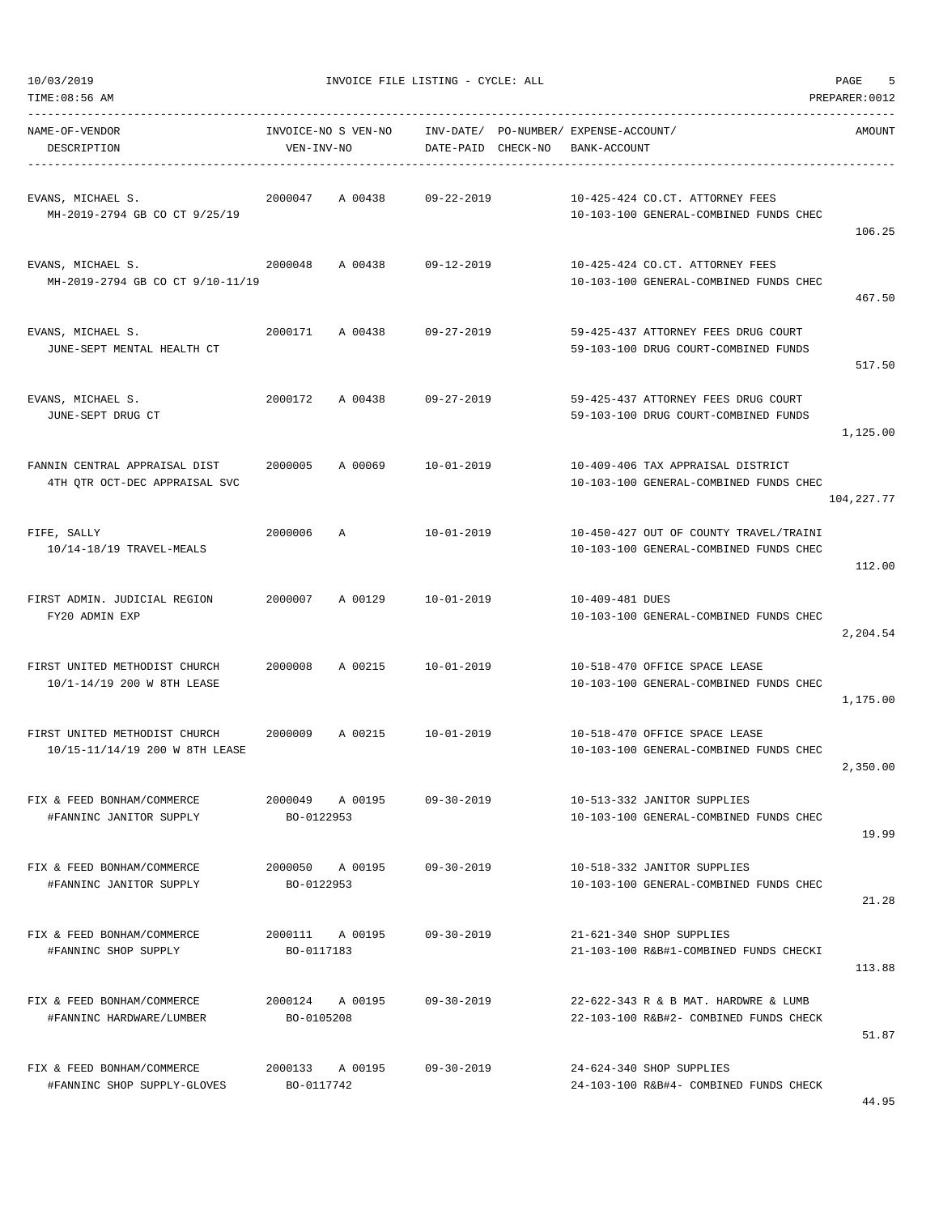| NAME-OF-VENDOR<br>DESCRIPTION                                           | INVOICE-NO S VEN-NO<br>VEN-INV-NO |                 | DATE-PAID CHECK-NO | INV-DATE/ PO-NUMBER/ EXPENSE-ACCOUNT/<br>BANK-ACCOUNT |                                                                                  | AMOUNT     |
|-------------------------------------------------------------------------|-----------------------------------|-----------------|--------------------|-------------------------------------------------------|----------------------------------------------------------------------------------|------------|
| EVANS, MICHAEL S.<br>MH-2019-2794 GB CO CT 9/25/19                      | 2000047                           | A 00438         | 09-22-2019         |                                                       | 10-425-424 CO.CT. ATTORNEY FEES<br>10-103-100 GENERAL-COMBINED FUNDS CHEC        | 106.25     |
| EVANS, MICHAEL S.<br>MH-2019-2794 GB CO CT 9/10-11/19                   | 2000048                           |                 | A 00438 09-12-2019 |                                                       | 10-425-424 CO.CT. ATTORNEY FEES<br>10-103-100 GENERAL-COMBINED FUNDS CHEC        | 467.50     |
| EVANS, MICHAEL S.<br>JUNE-SEPT MENTAL HEALTH CT                         | 2000171                           | A 00438         | 09-27-2019         |                                                       | 59-425-437 ATTORNEY FEES DRUG COURT<br>59-103-100 DRUG COURT-COMBINED FUNDS      | 517.50     |
| EVANS, MICHAEL S.<br>JUNE-SEPT DRUG CT                                  |                                   | 2000172 A 00438 | 09-27-2019         |                                                       | 59-425-437 ATTORNEY FEES DRUG COURT<br>59-103-100 DRUG COURT-COMBINED FUNDS      | 1,125.00   |
| FANNIN CENTRAL APPRAISAL DIST<br>4TH QTR OCT-DEC APPRAISAL SVC          |                                   | 2000005 A 00069 | 10-01-2019         |                                                       | 10-409-406 TAX APPRAISAL DISTRICT<br>10-103-100 GENERAL-COMBINED FUNDS CHEC      | 104,227.77 |
| FIFE, SALLY<br>10/14-18/19 TRAVEL-MEALS                                 | 2000006                           | $\mathbb A$     | 10-01-2019         |                                                       | 10-450-427 OUT OF COUNTY TRAVEL/TRAINI<br>10-103-100 GENERAL-COMBINED FUNDS CHEC | 112.00     |
| FIRST ADMIN. JUDICIAL REGION<br>FY20 ADMIN EXP                          |                                   | 2000007 A 00129 | 10-01-2019         | 10-409-481 DUES                                       | 10-103-100 GENERAL-COMBINED FUNDS CHEC                                           | 2,204.54   |
| FIRST UNITED METHODIST CHURCH<br>10/1-14/19 200 W 8TH LEASE             | 2000008                           | A 00215         | 10-01-2019         |                                                       | 10-518-470 OFFICE SPACE LEASE<br>10-103-100 GENERAL-COMBINED FUNDS CHEC          | 1,175.00   |
| FIRST UNITED METHODIST CHURCH 2000009<br>10/15-11/14/19 200 W 8TH LEASE |                                   |                 | A 00215 10-01-2019 |                                                       | 10-518-470 OFFICE SPACE LEASE<br>10-103-100 GENERAL-COMBINED FUNDS CHEC          | 2,350.00   |
| FIX & FEED BONHAM/COMMERCE<br>#FANNINC JANITOR SUPPLY                   | 2000049<br>BO-0122953             | A 00195         | $09 - 30 - 2019$   |                                                       | 10-513-332 JANITOR SUPPLIES<br>10-103-100 GENERAL-COMBINED FUNDS CHEC            | 19.99      |
| FIX & FEED BONHAM/COMMERCE<br>#FANNINC JANITOR SUPPLY                   | 2000050 A 00195<br>BO-0122953     |                 | $09 - 30 - 2019$   |                                                       | 10-518-332 JANITOR SUPPLIES<br>10-103-100 GENERAL-COMBINED FUNDS CHEC            | 21.28      |
| FIX & FEED BONHAM/COMMERCE<br>#FANNINC SHOP SUPPLY                      | 2000111 A 00195<br>BO-0117183     |                 | $09 - 30 - 2019$   |                                                       | 21-621-340 SHOP SUPPLIES<br>21-103-100 R&B#1-COMBINED FUNDS CHECKI               | 113.88     |
| FIX & FEED BONHAM/COMMERCE<br>#FANNINC HARDWARE/LUMBER                  | 2000124 A 00195<br>BO-0105208     |                 | $09 - 30 - 2019$   |                                                       | 22-622-343 R & B MAT. HARDWRE & LUMB<br>22-103-100 R&B#2- COMBINED FUNDS CHECK   | 51.87      |
| FIX & FEED BONHAM/COMMERCE<br>#FANNINC SHOP SUPPLY-GLOVES               | 2000133 A 00195<br>BO-0117742     |                 | $09 - 30 - 2019$   |                                                       | 24-624-340 SHOP SUPPLIES<br>24-103-100 R&B#4- COMBINED FUNDS CHECK               |            |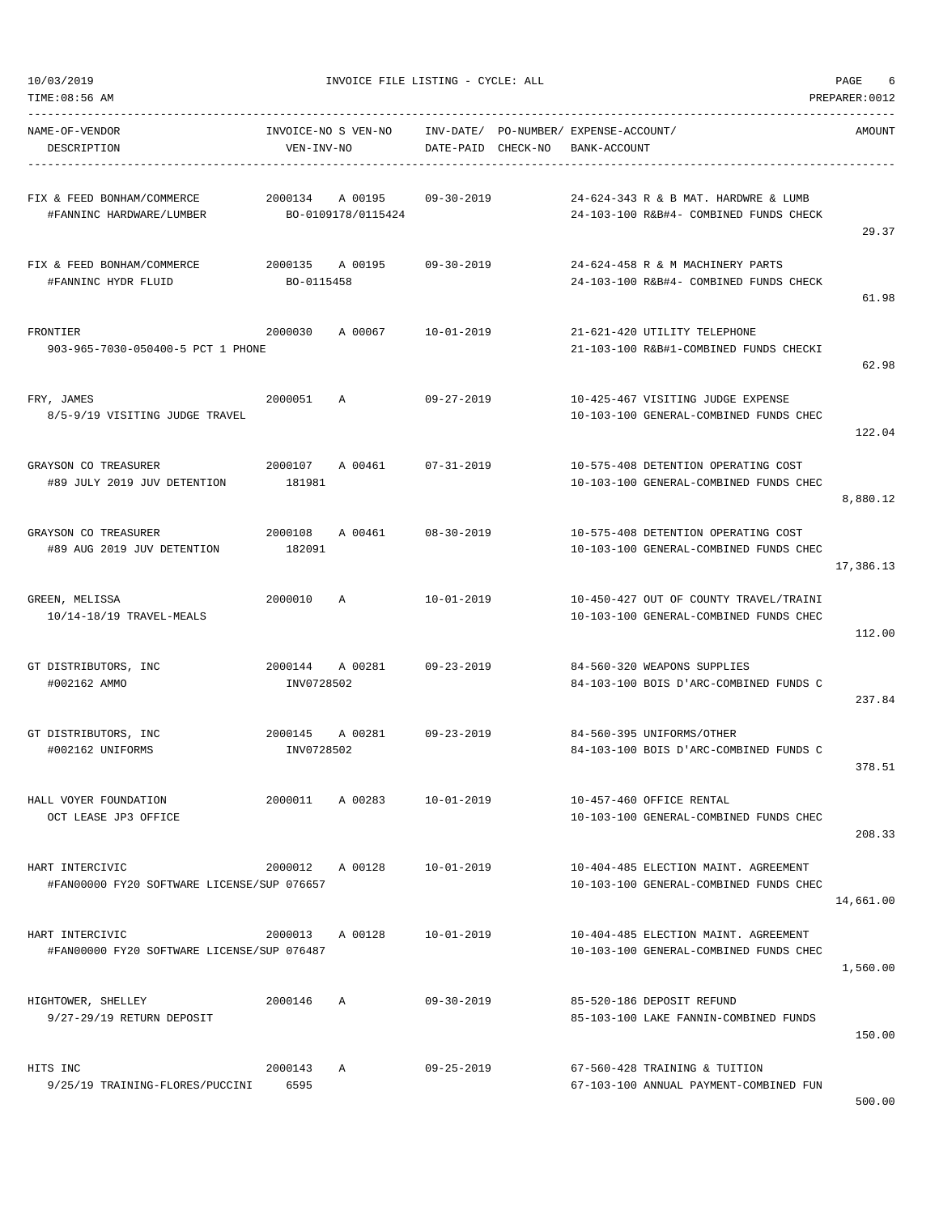| NAME-OF-VENDOR<br>DESCRIPTION                                 | VEN-INV-NO      |                                               | DATE-PAID CHECK-NO | INVOICE-NO S VEN-NO INV-DATE/ PO-NUMBER/ EXPENSE-ACCOUNT/<br>BANK-ACCOUNT        | AMOUNT    |
|---------------------------------------------------------------|-----------------|-----------------------------------------------|--------------------|----------------------------------------------------------------------------------|-----------|
| FIX & FEED BONHAM/COMMERCE<br>#FANNINC HARDWARE/LUMBER        |                 | 2000134 A 00195<br>BO-0109178/0115424         | 09-30-2019         | 24-624-343 R & B MAT. HARDWRE & LUMB<br>24-103-100 R&B#4- COMBINED FUNDS CHECK   | 29.37     |
| FIX & FEED BONHAM/COMMERCE<br>#FANNINC HYDR FLUID             | BO-0115458      | 2000135 A 00195                               | 09-30-2019         | 24-624-458 R & M MACHINERY PARTS<br>24-103-100 R&B#4- COMBINED FUNDS CHECK       | 61.98     |
| FRONTIER<br>903-965-7030-050400-5 PCT 1 PHONE                 | 2000030         | A 00067 10-01-2019                            |                    | 21-621-420 UTILITY TELEPHONE<br>21-103-100 R&B#1-COMBINED FUNDS CHECKI           | 62.98     |
| FRY, JAMES<br>8/5-9/19 VISITING JUDGE TRAVEL                  | 2000051 A       |                                               | 09-27-2019         | 10-425-467 VISITING JUDGE EXPENSE<br>10-103-100 GENERAL-COMBINED FUNDS CHEC      | 122.04    |
| GRAYSON CO TREASURER<br>#89 JULY 2019 JUV DETENTION           | 181981          | 2000107 A 00461 07-31-2019                    |                    | 10-575-408 DETENTION OPERATING COST<br>10-103-100 GENERAL-COMBINED FUNDS CHEC    | 8,880.12  |
| GRAYSON CO TREASURER<br>#89 AUG 2019 JUV DETENTION            | 182091          | 2000108 A 00461 08-30-2019                    |                    | 10-575-408 DETENTION OPERATING COST<br>10-103-100 GENERAL-COMBINED FUNDS CHEC    | 17,386.13 |
| GREEN, MELISSA<br>10/14-18/19 TRAVEL-MEALS                    | 2000010 A       |                                               | 10-01-2019         | 10-450-427 OUT OF COUNTY TRAVEL/TRAINI<br>10-103-100 GENERAL-COMBINED FUNDS CHEC | 112.00    |
| GT DISTRIBUTORS, INC<br>#002162 AMMO                          | INV0728502      | 2000144       A  00281             09-23-2019 |                    | 84-560-320 WEAPONS SUPPLIES<br>84-103-100 BOIS D'ARC-COMBINED FUNDS C            | 237.84    |
| GT DISTRIBUTORS, INC<br>#002162 UNIFORMS                      | INV0728502      | 2000145 A 00281 09-23-2019                    |                    | 84-560-395 UNIFORMS/OTHER<br>84-103-100 BOIS D'ARC-COMBINED FUNDS C              | 378.51    |
| HALL VOYER FOUNDATION<br>OCT LEASE JP3 OFFICE                 |                 | 2000011 A 00283                               | 10-01-2019         | 10-457-460 OFFICE RENTAL<br>10-103-100 GENERAL-COMBINED FUNDS CHEC               | 208.33    |
| HART INTERCIVIC<br>#FAN00000 FY20 SOFTWARE LICENSE/SUP 076657 |                 | 2000012 A 00128 10-01-2019                    |                    | 10-404-485 ELECTION MAINT. AGREEMENT<br>10-103-100 GENERAL-COMBINED FUNDS CHEC   | 14,661.00 |
| HART INTERCIVIC<br>#FAN00000 FY20 SOFTWARE LICENSE/SUP 076487 | 2000013 A 00128 |                                               | $10 - 01 - 2019$   | 10-404-485 ELECTION MAINT. AGREEMENT<br>10-103-100 GENERAL-COMBINED FUNDS CHEC   | 1,560.00  |
| HIGHTOWER, SHELLEY<br>9/27-29/19 RETURN DEPOSIT               | 2000146         | A                                             | $09 - 30 - 2019$   | 85-520-186 DEPOSIT REFUND<br>85-103-100 LAKE FANNIN-COMBINED FUNDS               | 150.00    |
| HITS INC<br>9/25/19 TRAINING-FLORES/PUCCINI                   | 2000143<br>6595 | A                                             | $09 - 25 - 2019$   | 67-560-428 TRAINING & TUITION<br>67-103-100 ANNUAL PAYMENT-COMBINED FUN          |           |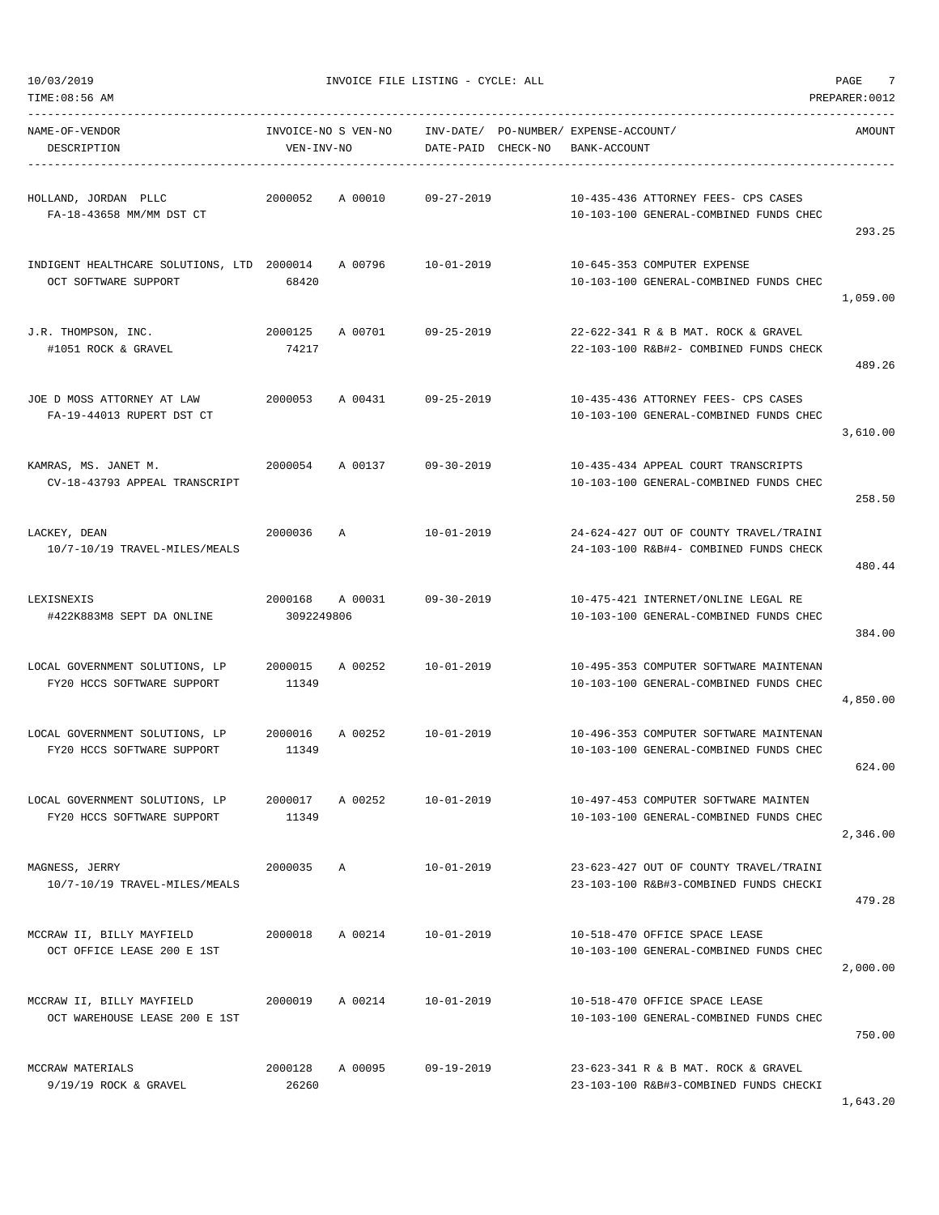| TIME:08:56 AM<br>PREPARER: 0012                                    |                       |                     |                        |          |                                                                                  |          |  |  |
|--------------------------------------------------------------------|-----------------------|---------------------|------------------------|----------|----------------------------------------------------------------------------------|----------|--|--|
| NAME-OF-VENDOR<br>DESCRIPTION                                      | VEN-INV-NO            | INVOICE-NO S VEN-NO | INV-DATE/<br>DATE-PAID | CHECK-NO | PO-NUMBER / EXPENSE-ACCOUNT /<br>BANK-ACCOUNT                                    | AMOUNT   |  |  |
| HOLLAND, JORDAN PLLC<br>FA-18-43658 MM/MM DST CT                   | 2000052               | A 00010             | $09 - 27 - 2019$       |          | 10-435-436 ATTORNEY FEES- CPS CASES<br>10-103-100 GENERAL-COMBINED FUNDS CHEC    | 293.25   |  |  |
| INDIGENT HEALTHCARE SOLUTIONS, LTD 2000014<br>OCT SOFTWARE SUPPORT | 68420                 | A 00796             | 10-01-2019             |          | 10-645-353 COMPUTER EXPENSE<br>10-103-100 GENERAL-COMBINED FUNDS CHEC            | 1,059.00 |  |  |
| J.R. THOMPSON, INC.<br>#1051 ROCK & GRAVEL                         | 2000125<br>74217      | A 00701             | $09 - 25 - 2019$       |          | 22-622-341 R & B MAT. ROCK & GRAVEL<br>22-103-100 R&B#2- COMBINED FUNDS CHECK    | 489.26   |  |  |
| JOE D MOSS ATTORNEY AT LAW<br>FA-19-44013 RUPERT DST CT            | 2000053               | A 00431             | $09 - 25 - 2019$       |          | 10-435-436 ATTORNEY FEES- CPS CASES<br>10-103-100 GENERAL-COMBINED FUNDS CHEC    | 3,610.00 |  |  |
| KAMRAS, MS. JANET M.<br>CV-18-43793 APPEAL TRANSCRIPT              | 2000054               | A 00137             | $09 - 30 - 2019$       |          | 10-435-434 APPEAL COURT TRANSCRIPTS<br>10-103-100 GENERAL-COMBINED FUNDS CHEC    | 258.50   |  |  |
| LACKEY, DEAN<br>10/7-10/19 TRAVEL-MILES/MEALS                      | 2000036               | Α                   | $10 - 01 - 2019$       |          | 24-624-427 OUT OF COUNTY TRAVEL/TRAINI<br>24-103-100 R&B#4- COMBINED FUNDS CHECK | 480.44   |  |  |
| LEXISNEXIS<br>#422K883M8 SEPT DA ONLINE                            | 2000168<br>3092249806 | A 00031             | $09 - 30 - 2019$       |          | 10-475-421 INTERNET/ONLINE LEGAL RE<br>10-103-100 GENERAL-COMBINED FUNDS CHEC    | 384.00   |  |  |
| LOCAL GOVERNMENT SOLUTIONS, LP<br>FY20 HCCS SOFTWARE SUPPORT       | 2000015<br>11349      | A 00252             | $10 - 01 - 2019$       |          | 10-495-353 COMPUTER SOFTWARE MAINTENAN<br>10-103-100 GENERAL-COMBINED FUNDS CHEC | 4,850.00 |  |  |
| LOCAL GOVERNMENT SOLUTIONS, LP<br>FY20 HCCS SOFTWARE SUPPORT       | 2000016<br>11349      | A 00252             | 10-01-2019             |          | 10-496-353 COMPUTER SOFTWARE MAINTENAN<br>10-103-100 GENERAL-COMBINED FUNDS CHEC | 624.00   |  |  |
| LOCAL GOVERNMENT SOLUTIONS, LP<br>FY20 HCCS SOFTWARE SUPPORT       | 2000017<br>11349      | A 00252             | $10 - 01 - 2019$       |          | 10-497-453 COMPUTER SOFTWARE MAINTEN<br>10-103-100 GENERAL-COMBINED FUNDS CHEC   | 2,346.00 |  |  |
| MAGNESS, JERRY<br>10/7-10/19 TRAVEL-MILES/MEALS                    | 2000035               | Α                   | $10 - 01 - 2019$       |          | 23-623-427 OUT OF COUNTY TRAVEL/TRAINI<br>23-103-100 R&B#3-COMBINED FUNDS CHECKI | 479.28   |  |  |
| MCCRAW II, BILLY MAYFIELD<br>OCT OFFICE LEASE 200 E 1ST            | 2000018               | A 00214             | $10 - 01 - 2019$       |          | 10-518-470 OFFICE SPACE LEASE<br>10-103-100 GENERAL-COMBINED FUNDS CHEC          | 2,000.00 |  |  |
| MCCRAW II, BILLY MAYFIELD<br>OCT WAREHOUSE LEASE 200 E 1ST         | 2000019               | A 00214             | $10 - 01 - 2019$       |          | 10-518-470 OFFICE SPACE LEASE<br>10-103-100 GENERAL-COMBINED FUNDS CHEC          | 750.00   |  |  |
| MCCRAW MATERIALS<br>9/19/19 ROCK & GRAVEL                          | 2000128<br>26260      | A 00095             | $09 - 19 - 2019$       |          | 23-623-341 R & B MAT. ROCK & GRAVEL<br>23-103-100 R&B#3-COMBINED FUNDS CHECKI    |          |  |  |

1,643.20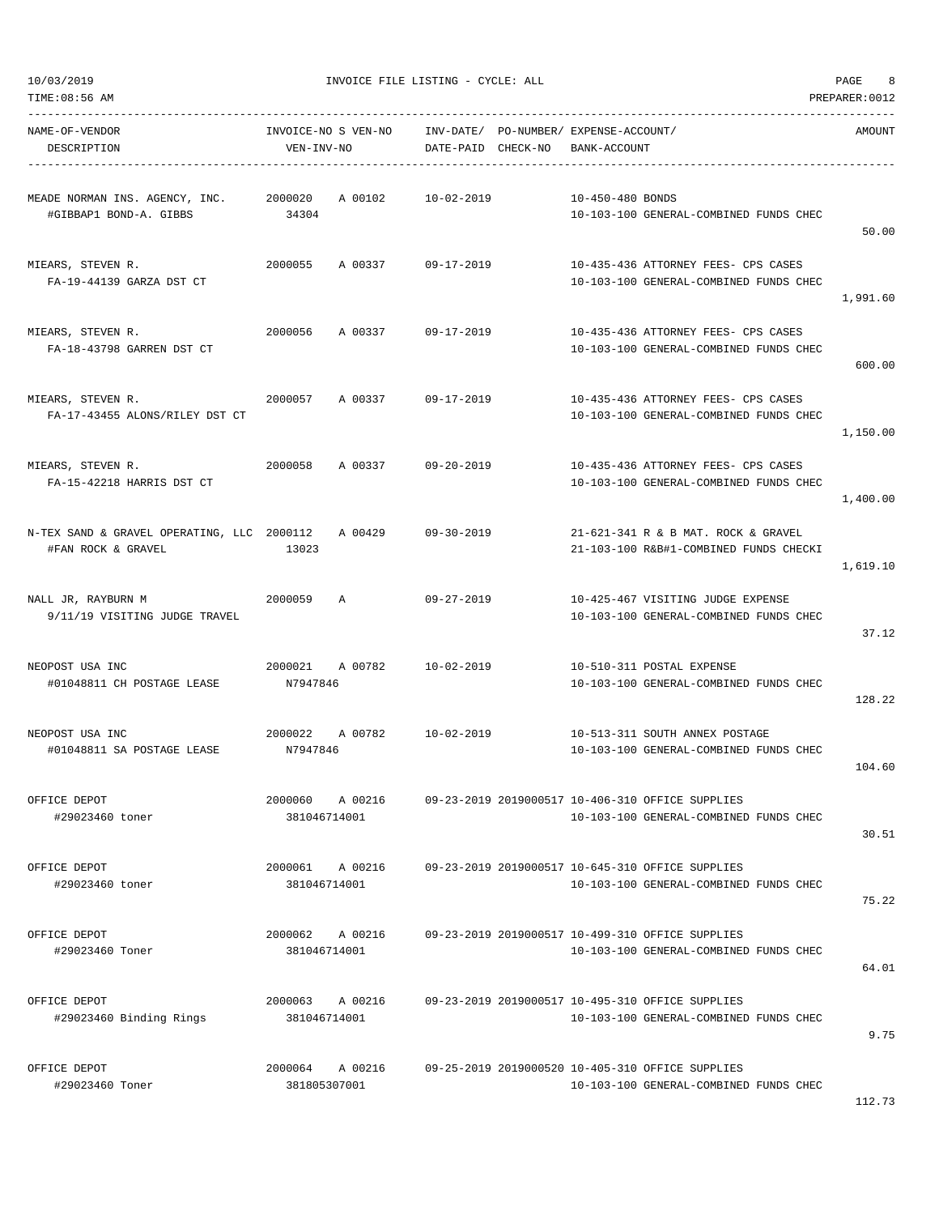| NAME-OF-VENDOR<br>DESCRIPTION                                            | INVOICE-NO S VEN-NO<br>VEN-INV-NO  | INV-DATE/ PO-NUMBER/ EXPENSE-ACCOUNT/<br>DATE-PAID CHECK-NO | BANK-ACCOUNT                                                                               | AMOUNT   |
|--------------------------------------------------------------------------|------------------------------------|-------------------------------------------------------------|--------------------------------------------------------------------------------------------|----------|
| MEADE NORMAN INS. AGENCY, INC. 2000020<br>#GIBBAP1 BOND-A. GIBBS         | A 00102 10-02-2019<br>34304        |                                                             | 10-450-480 BONDS<br>10-103-100 GENERAL-COMBINED FUNDS CHEC                                 | 50.00    |
| MIEARS, STEVEN R.<br>FA-19-44139 GARZA DST CT                            | 2000055<br>A 00337 09-17-2019      |                                                             | 10-435-436 ATTORNEY FEES- CPS CASES<br>10-103-100 GENERAL-COMBINED FUNDS CHEC              | 1,991.60 |
| MIEARS, STEVEN R.<br>FA-18-43798 GARREN DST CT                           | 2000056<br>A 00337 09-17-2019      |                                                             | 10-435-436 ATTORNEY FEES- CPS CASES<br>10-103-100 GENERAL-COMBINED FUNDS CHEC              | 600.00   |
| MIEARS, STEVEN R.<br>FA-17-43455 ALONS/RILEY DST CT                      | 2000057<br>A 00337                 | 09-17-2019                                                  | 10-435-436 ATTORNEY FEES- CPS CASES<br>10-103-100 GENERAL-COMBINED FUNDS CHEC              | 1,150.00 |
| MIEARS, STEVEN R.<br>FA-15-42218 HARRIS DST CT                           | 2000058<br>A 00337 09-20-2019      |                                                             | 10-435-436 ATTORNEY FEES- CPS CASES<br>10-103-100 GENERAL-COMBINED FUNDS CHEC              | 1,400.00 |
| N-TEX SAND & GRAVEL OPERATING, LLC 2000112 A 00429<br>#FAN ROCK & GRAVEL | 13023                              | $09 - 30 - 2019$                                            | 21-621-341 R & B MAT. ROCK & GRAVEL<br>21-103-100 R&B#1-COMBINED FUNDS CHECKI              | 1,619.10 |
| NALL JR, RAYBURN M<br>9/11/19 VISITING JUDGE TRAVEL                      | 2000059<br>Α                       | 09-27-2019                                                  | 10-425-467 VISITING JUDGE EXPENSE<br>10-103-100 GENERAL-COMBINED FUNDS CHEC                | 37.12    |
| NEOPOST USA INC<br>#01048811 CH POSTAGE LEASE                            | 2000021 A 00782<br>N7947846        | 10-02-2019                                                  | 10-510-311 POSTAL EXPENSE<br>10-103-100 GENERAL-COMBINED FUNDS CHEC                        | 128.22   |
| NEOPOST USA INC<br>#01048811 SA POSTAGE LEASE                            | 2000022<br>A 00782<br>N7947846     | $10 - 02 - 2019$                                            | 10-513-311 SOUTH ANNEX POSTAGE<br>10-103-100 GENERAL-COMBINED FUNDS CHEC                   | 104.60   |
| OFFICE DEPOT<br>#29023460 toner                                          | A 00216<br>2000060<br>381046714001 |                                                             | 09-23-2019 2019000517 10-406-310 OFFICE SUPPLIES<br>10-103-100 GENERAL-COMBINED FUNDS CHEC | 30.51    |
| OFFICE DEPOT<br>#29023460 toner                                          | 2000061<br>A 00216<br>381046714001 |                                                             | 09-23-2019 2019000517 10-645-310 OFFICE SUPPLIES<br>10-103-100 GENERAL-COMBINED FUNDS CHEC | 75.22    |
| OFFICE DEPOT<br>#29023460 Toner                                          | 2000062<br>A 00216<br>381046714001 |                                                             | 09-23-2019 2019000517 10-499-310 OFFICE SUPPLIES<br>10-103-100 GENERAL-COMBINED FUNDS CHEC | 64.01    |
| OFFICE DEPOT<br>#29023460 Binding Rings                                  | 2000063<br>A 00216<br>381046714001 |                                                             | 09-23-2019 2019000517 10-495-310 OFFICE SUPPLIES<br>10-103-100 GENERAL-COMBINED FUNDS CHEC | 9.75     |
| OFFICE DEPOT<br>#29023460 Toner                                          | 2000064<br>A 00216<br>381805307001 |                                                             | 09-25-2019 2019000520 10-405-310 OFFICE SUPPLIES<br>10-103-100 GENERAL-COMBINED FUNDS CHEC |          |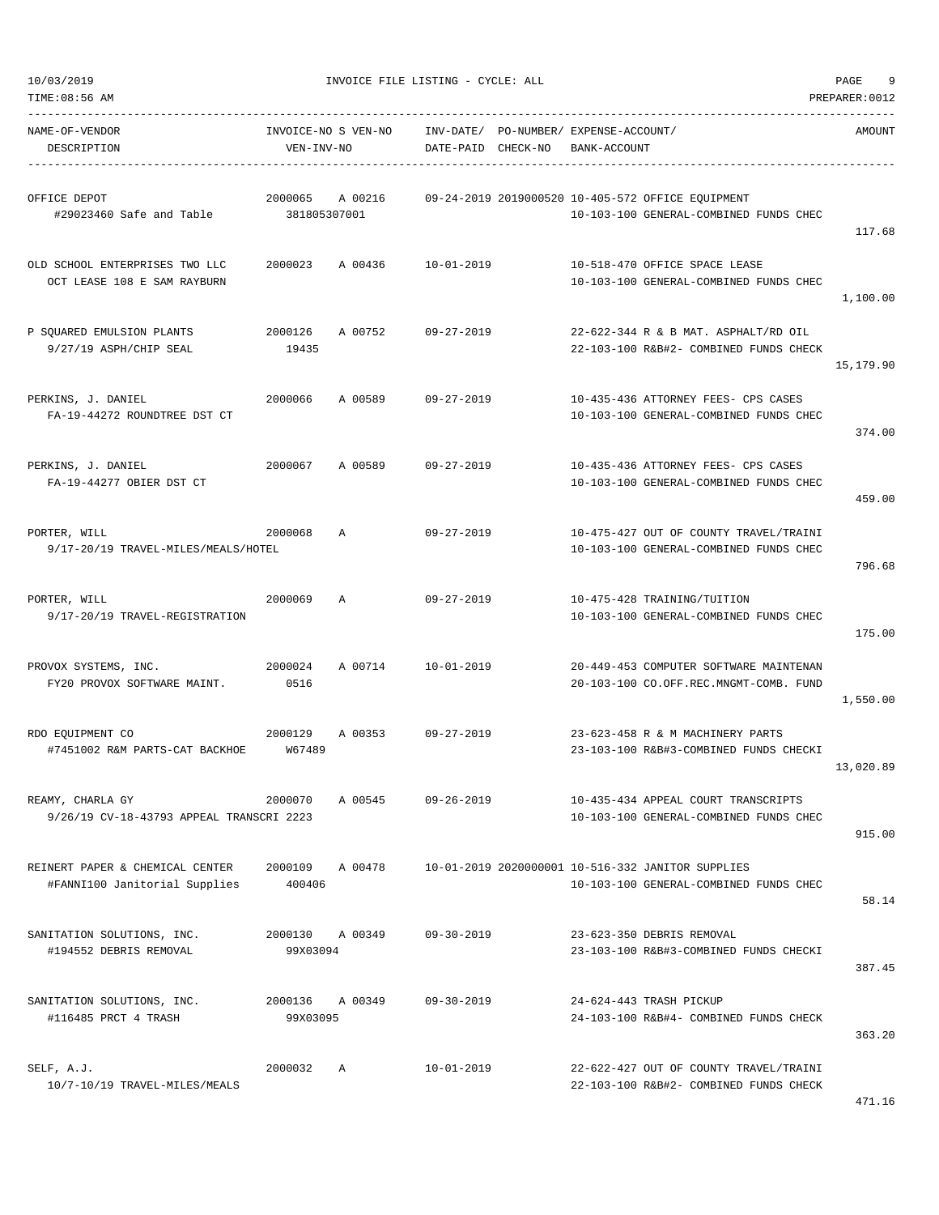| TIME: 08:56 AM                                                   |                                   |         |                        |          |                                             |                                                                                             | PREPARER: 0012 |
|------------------------------------------------------------------|-----------------------------------|---------|------------------------|----------|---------------------------------------------|---------------------------------------------------------------------------------------------|----------------|
| NAME-OF-VENDOR<br>DESCRIPTION                                    | INVOICE-NO S VEN-NO<br>VEN-INV-NO |         | INV-DATE/<br>DATE-PAID | CHECK-NO | PO-NUMBER/ EXPENSE-ACCOUNT/<br>BANK-ACCOUNT |                                                                                             | AMOUNT         |
| OFFICE DEPOT<br>#29023460 Safe and Table                         | 2000065<br>381805307001           | A 00216 |                        |          |                                             | 09-24-2019 2019000520 10-405-572 OFFICE EOUIPMENT<br>10-103-100 GENERAL-COMBINED FUNDS CHEC | 117.68         |
| OLD SCHOOL ENTERPRISES TWO LLC<br>OCT LEASE 108 E SAM RAYBURN    | 2000023                           | A 00436 | $10 - 01 - 2019$       |          |                                             | 10-518-470 OFFICE SPACE LEASE<br>10-103-100 GENERAL-COMBINED FUNDS CHEC                     | 1,100.00       |
| P SQUARED EMULSION PLANTS<br>9/27/19 ASPH/CHIP SEAL              | 2000126<br>19435                  | A 00752 | $09 - 27 - 2019$       |          |                                             | 22-622-344 R & B MAT. ASPHALT/RD OIL<br>22-103-100 R&B#2- COMBINED FUNDS CHECK              | 15,179.90      |
| PERKINS, J. DANIEL<br>FA-19-44272 ROUNDTREE DST CT               | 2000066                           | A 00589 | $09 - 27 - 2019$       |          |                                             | 10-435-436 ATTORNEY FEES- CPS CASES<br>10-103-100 GENERAL-COMBINED FUNDS CHEC               | 374.00         |
| PERKINS, J. DANIEL<br>FA-19-44277 OBIER DST CT                   | 2000067                           | A 00589 | $09 - 27 - 2019$       |          |                                             | 10-435-436 ATTORNEY FEES- CPS CASES<br>10-103-100 GENERAL-COMBINED FUNDS CHEC               | 459.00         |
| PORTER, WILL<br>9/17-20/19 TRAVEL-MILES/MEALS/HOTEL              | 2000068                           | Α       | $09 - 27 - 2019$       |          |                                             | 10-475-427 OUT OF COUNTY TRAVEL/TRAINI<br>10-103-100 GENERAL-COMBINED FUNDS CHEC            | 796.68         |
| PORTER, WILL<br>9/17-20/19 TRAVEL-REGISTRATION                   | 2000069                           | Α       | $09 - 27 - 2019$       |          |                                             | 10-475-428 TRAINING/TUITION<br>10-103-100 GENERAL-COMBINED FUNDS CHEC                       | 175.00         |
| PROVOX SYSTEMS, INC.<br>FY20 PROVOX SOFTWARE MAINT.              | 2000024<br>0516                   | A 00714 | $10 - 01 - 2019$       |          |                                             | 20-449-453 COMPUTER SOFTWARE MAINTENAN<br>20-103-100 CO.OFF.REC.MNGMT-COMB. FUND            | 1,550.00       |
| RDO EQUIPMENT CO<br>#7451002 R&M PARTS-CAT BACKHOE               | 2000129<br>W67489                 | A 00353 | $09 - 27 - 2019$       |          |                                             | 23-623-458 R & M MACHINERY PARTS<br>23-103-100 R&B#3-COMBINED FUNDS CHECKI                  | 13,020.89      |
| REAMY, CHARLA GY<br>9/26/19 CV-18-43793 APPEAL TRANSCRI 2223     | 2000070                           | A 00545 | $09 - 26 - 2019$       |          |                                             | 10-435-434 APPEAL COURT TRANSCRIPTS<br>10-103-100 GENERAL-COMBINED FUNDS CHEC               | 915.00         |
| REINERT PAPER & CHEMICAL CENTER<br>#FANNI100 Janitorial Supplies | 2000109<br>400406                 | A 00478 |                        |          |                                             | 10-01-2019 2020000001 10-516-332 JANITOR SUPPLIES<br>10-103-100 GENERAL-COMBINED FUNDS CHEC | 58.14          |
| SANITATION SOLUTIONS, INC.<br>#194552 DEBRIS REMOVAL             | 2000130 A 00349<br>99X03094       |         | 09-30-2019             |          |                                             | 23-623-350 DEBRIS REMOVAL<br>23-103-100 R&B#3-COMBINED FUNDS CHECKI                         | 387.45         |
| SANITATION SOLUTIONS, INC.<br>#116485 PRCT 4 TRASH               | 2000136<br>99X03095               | A 00349 | 09-30-2019             |          |                                             | 24-624-443 TRASH PICKUP<br>24-103-100 R&B#4- COMBINED FUNDS CHECK                           | 363.20         |
| SELF, A.J.<br>10/7-10/19 TRAVEL-MILES/MEALS                      | 2000032                           | A       | $10 - 01 - 2019$       |          |                                             | 22-622-427 OUT OF COUNTY TRAVEL/TRAINI<br>22-103-100 R&B#2- COMBINED FUNDS CHECK            |                |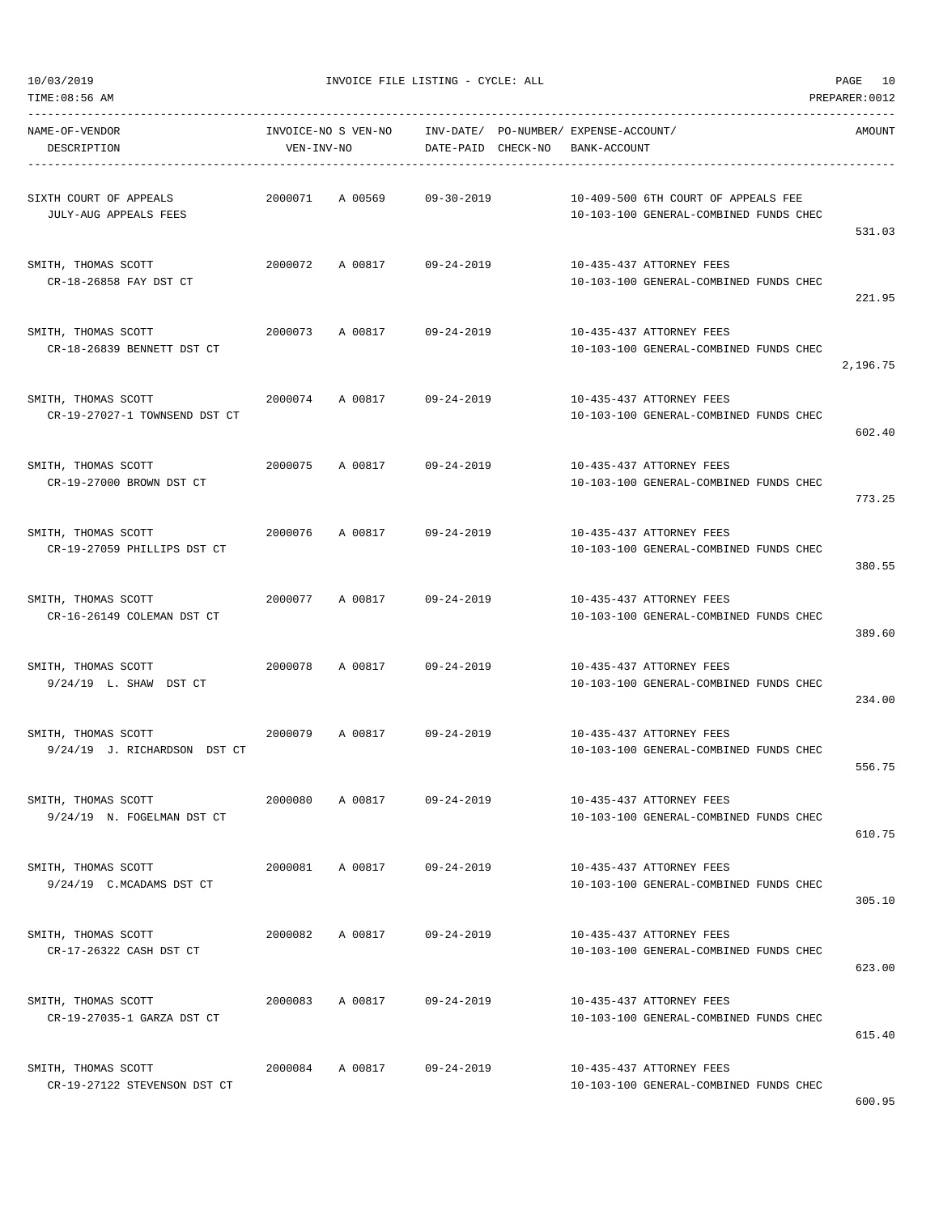| NAME-OF-VENDOR<br>DESCRIPTION                   | VEN-INV-NO |                 | DATE-PAID CHECK-NO BANK-ACCOUNT | INVOICE-NO S VEN-NO    INV-DATE/ PO-NUMBER/ EXPENSE-ACCOUNT/                  | AMOUNT   |
|-------------------------------------------------|------------|-----------------|---------------------------------|-------------------------------------------------------------------------------|----------|
|                                                 |            |                 |                                 |                                                                               |          |
| SIXTH COURT OF APPEALS<br>JULY-AUG APPEALS FEES |            |                 | 2000071 A 00569 09-30-2019      | 10-409-500 6TH COURT OF APPEALS FEE<br>10-103-100 GENERAL-COMBINED FUNDS CHEC |          |
|                                                 |            |                 |                                 |                                                                               | 531.03   |
| SMITH, THOMAS SCOTT                             |            |                 | 2000072 A 00817 09-24-2019      | 10-435-437 ATTORNEY FEES                                                      |          |
| CR-18-26858 FAY DST CT                          |            |                 |                                 | 10-103-100 GENERAL-COMBINED FUNDS CHEC                                        |          |
|                                                 |            |                 |                                 |                                                                               | 221.95   |
| SMITH, THOMAS SCOTT                             |            |                 | 2000073 A 00817 09-24-2019      | 10-435-437 ATTORNEY FEES                                                      |          |
| CR-18-26839 BENNETT DST CT                      |            |                 |                                 | 10-103-100 GENERAL-COMBINED FUNDS CHEC                                        |          |
|                                                 |            |                 |                                 |                                                                               | 2,196.75 |
| SMITH, THOMAS SCOTT                             |            |                 | 2000074 A 00817 09-24-2019      | 10-435-437 ATTORNEY FEES                                                      |          |
| CR-19-27027-1 TOWNSEND DST CT                   |            |                 |                                 | 10-103-100 GENERAL-COMBINED FUNDS CHEC                                        |          |
|                                                 |            |                 |                                 |                                                                               | 602.40   |
| SMITH, THOMAS SCOTT                             |            |                 | 2000075 A 00817 09-24-2019      | 10-435-437 ATTORNEY FEES                                                      |          |
| CR-19-27000 BROWN DST CT                        |            |                 |                                 | 10-103-100 GENERAL-COMBINED FUNDS CHEC                                        |          |
|                                                 |            |                 |                                 |                                                                               | 773.25   |
| SMITH, THOMAS SCOTT                             |            |                 | 2000076 A 00817 09-24-2019      | 10-435-437 ATTORNEY FEES                                                      |          |
| CR-19-27059 PHILLIPS DST CT                     |            |                 |                                 | 10-103-100 GENERAL-COMBINED FUNDS CHEC                                        |          |
|                                                 |            |                 |                                 |                                                                               | 380.55   |
| SMITH, THOMAS SCOTT                             |            |                 | 2000077 A 00817 09-24-2019      | 10-435-437 ATTORNEY FEES                                                      |          |
| CR-16-26149 COLEMAN DST CT                      |            |                 |                                 | 10-103-100 GENERAL-COMBINED FUNDS CHEC                                        |          |
|                                                 |            |                 |                                 |                                                                               | 389.60   |
| SMITH, THOMAS SCOTT                             |            |                 | 2000078 A 00817 09-24-2019      | 10-435-437 ATTORNEY FEES                                                      |          |
| 9/24/19 L. SHAW DST CT                          |            |                 |                                 | 10-103-100 GENERAL-COMBINED FUNDS CHEC                                        |          |
|                                                 |            |                 |                                 |                                                                               | 234.00   |
| SMITH, THOMAS SCOTT                             |            |                 | 2000079 A 00817 09-24-2019      | 10-435-437 ATTORNEY FEES                                                      |          |
| 9/24/19 J. RICHARDSON DST CT                    |            |                 |                                 | 10-103-100 GENERAL-COMBINED FUNDS CHEC                                        |          |
|                                                 |            |                 |                                 |                                                                               | 556.75   |
| SMITH, THOMAS SCOTT                             | 2000080    | A 00817         | 09-24-2019                      | 10-435-437 ATTORNEY FEES                                                      |          |
| 9/24/19 N. FOGELMAN DST CT                      |            |                 |                                 | 10-103-100 GENERAL-COMBINED FUNDS CHEC                                        |          |
|                                                 |            |                 |                                 |                                                                               | 610.75   |
| SMITH, THOMAS SCOTT                             |            |                 | 2000081 A 00817 09-24-2019      | 10-435-437 ATTORNEY FEES                                                      |          |
| 9/24/19 C.MCADAMS DST CT                        |            |                 |                                 | 10-103-100 GENERAL-COMBINED FUNDS CHEC                                        |          |
|                                                 |            |                 |                                 |                                                                               | 305.10   |
| SMITH, THOMAS SCOTT                             |            |                 | 2000082 A 00817 09-24-2019      | 10-435-437 ATTORNEY FEES                                                      |          |
| CR-17-26322 CASH DST CT                         |            |                 |                                 | 10-103-100 GENERAL-COMBINED FUNDS CHEC                                        |          |
|                                                 |            |                 |                                 |                                                                               | 623.00   |
| SMITH, THOMAS SCOTT                             |            | 2000083 A 00817 | $09 - 24 - 2019$                | 10-435-437 ATTORNEY FEES                                                      |          |
| CR-19-27035-1 GARZA DST CT                      |            |                 |                                 | 10-103-100 GENERAL-COMBINED FUNDS CHEC                                        |          |
|                                                 |            |                 |                                 |                                                                               | 615.40   |
| SMITH, THOMAS SCOTT                             |            |                 | 2000084 A 00817 09-24-2019      | 10-435-437 ATTORNEY FEES                                                      |          |
| CR-19-27122 STEVENSON DST CT                    |            |                 |                                 | 10-103-100 GENERAL-COMBINED FUNDS CHEC                                        |          |
|                                                 |            |                 |                                 |                                                                               | 600.95   |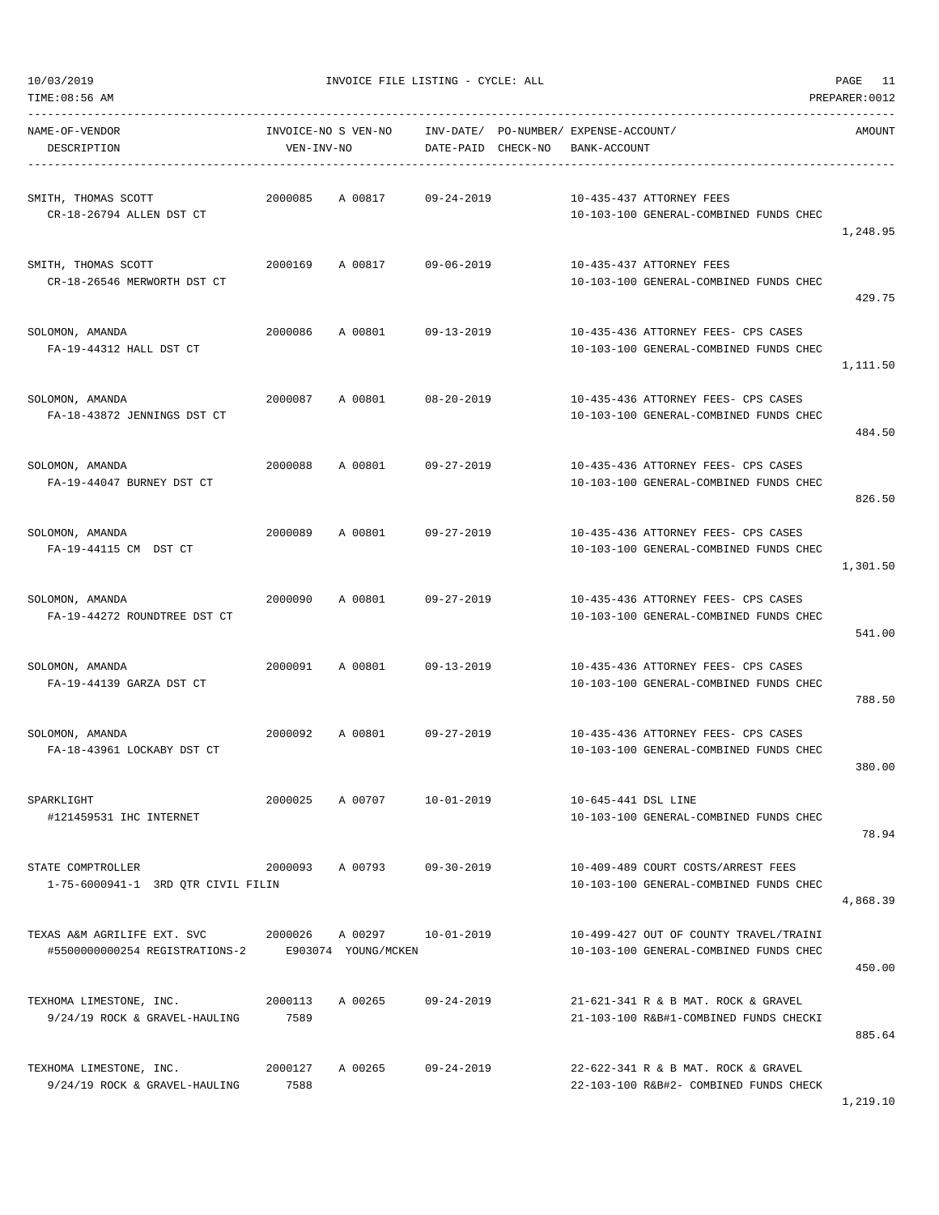TIME:08:56 AM PREPARER:0012

10/03/2019 INVOICE FILE LISTING - CYCLE: ALL PAGE 11

| NAME-OF-VENDOR<br>DESCRIPTION                            | VEN-INV-NO | INVOICE-NO S VEN-NO INV-DATE/ PO-NUMBER/ EXPENSE-ACCOUNT/ |                  | DATE-PAID CHECK-NO BANK-ACCOUNT |                                                                                  | AMOUNT   |
|----------------------------------------------------------|------------|-----------------------------------------------------------|------------------|---------------------------------|----------------------------------------------------------------------------------|----------|
| SMITH, THOMAS SCOTT                                      | 2000085    | A 00817                                                   | $09 - 24 - 2019$ |                                 | 10-435-437 ATTORNEY FEES                                                         |          |
| CR-18-26794 ALLEN DST CT                                 |            |                                                           |                  |                                 | 10-103-100 GENERAL-COMBINED FUNDS CHEC                                           | 1,248.95 |
| SMITH, THOMAS SCOTT                                      |            | 2000169 A 00817 09-06-2019                                |                  |                                 | 10-435-437 ATTORNEY FEES                                                         |          |
| CR-18-26546 MERWORTH DST CT                              |            |                                                           |                  |                                 | 10-103-100 GENERAL-COMBINED FUNDS CHEC                                           | 429.75   |
| SOLOMON, AMANDA                                          | 2000086    | A 00801 09-13-2019                                        |                  |                                 | 10-435-436 ATTORNEY FEES- CPS CASES                                              |          |
| FA-19-44312 HALL DST CT                                  |            |                                                           |                  |                                 | 10-103-100 GENERAL-COMBINED FUNDS CHEC                                           |          |
|                                                          |            |                                                           |                  |                                 |                                                                                  | 1,111.50 |
| SOLOMON, AMANDA<br>FA-18-43872 JENNINGS DST CT           | 2000087    | A 00801 08-20-2019                                        |                  |                                 | 10-435-436 ATTORNEY FEES- CPS CASES<br>10-103-100 GENERAL-COMBINED FUNDS CHEC    |          |
|                                                          |            |                                                           |                  |                                 |                                                                                  | 484.50   |
| SOLOMON, AMANDA                                          | 2000088    | A 00801 09-27-2019                                        |                  |                                 | 10-435-436 ATTORNEY FEES- CPS CASES                                              |          |
| FA-19-44047 BURNEY DST CT                                |            |                                                           |                  |                                 | 10-103-100 GENERAL-COMBINED FUNDS CHEC                                           | 826.50   |
| SOLOMON, AMANDA                                          |            | 2000089 A 00801 09-27-2019                                |                  |                                 | 10-435-436 ATTORNEY FEES- CPS CASES                                              |          |
| FA-19-44115 CM DST CT                                    |            |                                                           |                  |                                 | 10-103-100 GENERAL-COMBINED FUNDS CHEC                                           | 1,301.50 |
|                                                          |            |                                                           |                  |                                 |                                                                                  |          |
| SOLOMON, AMANDA<br>FA-19-44272 ROUNDTREE DST CT          | 2000090    | A 00801 09-27-2019                                        |                  |                                 | 10-435-436 ATTORNEY FEES- CPS CASES<br>10-103-100 GENERAL-COMBINED FUNDS CHEC    |          |
|                                                          |            |                                                           |                  |                                 |                                                                                  | 541.00   |
| SOLOMON, AMANDA<br>FA-19-44139 GARZA DST CT              | 2000091    | A 00801 09-13-2019                                        |                  |                                 | 10-435-436 ATTORNEY FEES- CPS CASES<br>10-103-100 GENERAL-COMBINED FUNDS CHEC    |          |
|                                                          |            |                                                           |                  |                                 |                                                                                  | 788.50   |
| SOLOMON, AMANDA                                          |            | 2000092 A 00801 09-27-2019                                |                  |                                 | 10-435-436 ATTORNEY FEES- CPS CASES                                              |          |
| FA-18-43961 LOCKABY DST CT                               |            |                                                           |                  |                                 | 10-103-100 GENERAL-COMBINED FUNDS CHEC                                           | 380.00   |
| SPARKLIGHT                                               | 2000025    | A 00707                                                   | 10-01-2019       | 10-645-441 DSL LINE             |                                                                                  |          |
| #121459531 IHC INTERNET                                  |            |                                                           |                  |                                 | 10-103-100 GENERAL-COMBINED FUNDS CHEC                                           | 78.94    |
|                                                          |            |                                                           |                  |                                 |                                                                                  |          |
| STATE COMPTROLLER<br>1-75-6000941-1 3RD QTR CIVIL FILIN  | 2000093    | A 00793 09-30-2019                                        |                  |                                 | 10-409-489 COURT COSTS/ARREST FEES<br>10-103-100 GENERAL-COMBINED FUNDS CHEC     |          |
|                                                          |            |                                                           |                  |                                 |                                                                                  | 4,868.39 |
| TEXAS A&M AGRILIFE EXT. SVC                              | 2000026    | A 00297<br>E903074 YOUNG/MCKEN                            | 10-01-2019       |                                 | 10-499-427 OUT OF COUNTY TRAVEL/TRAINI<br>10-103-100 GENERAL-COMBINED FUNDS CHEC |          |
| #5500000000254 REGISTRATIONS-2                           |            |                                                           |                  |                                 |                                                                                  | 450.00   |
| TEXHOMA LIMESTONE, INC.                                  | 2000113    | A 00265                                                   | $09 - 24 - 2019$ |                                 | 21-621-341 R & B MAT. ROCK & GRAVEL                                              |          |
| 9/24/19 ROCK & GRAVEL-HAULING                            | 7589       |                                                           |                  |                                 | 21-103-100 R&B#1-COMBINED FUNDS CHECKI                                           | 885.64   |
|                                                          | 2000127    | A 00265                                                   | $09 - 24 - 2019$ |                                 | 22-622-341 R & B MAT. ROCK & GRAVEL                                              |          |
| TEXHOMA LIMESTONE, INC.<br>9/24/19 ROCK & GRAVEL-HAULING | 7588       |                                                           |                  |                                 | 22-103-100 R&B#2- COMBINED FUNDS CHECK                                           |          |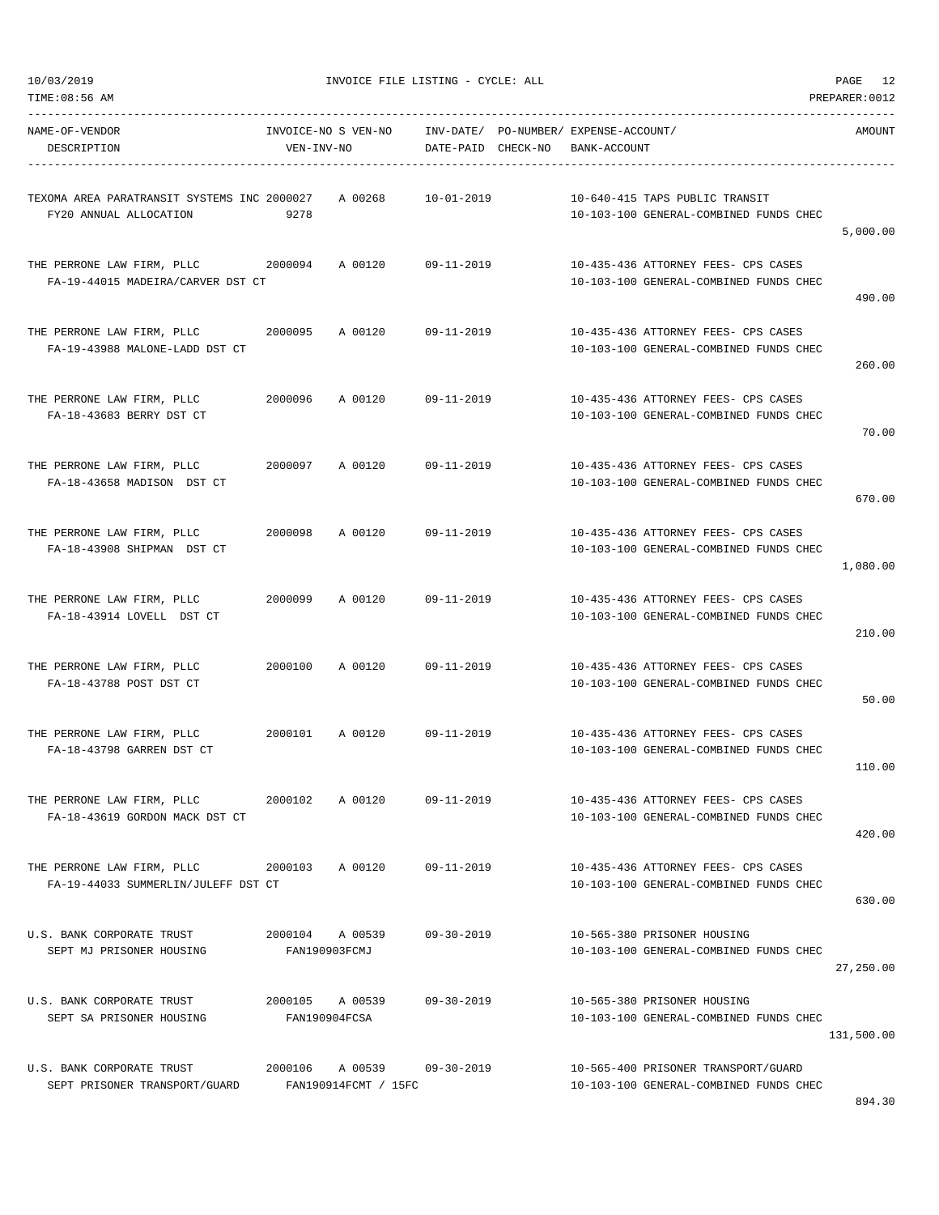| TIME:08:56 AM                                                         |                                   |                      |                    |                                                       |                                                                               | PREPARER: 0012 |
|-----------------------------------------------------------------------|-----------------------------------|----------------------|--------------------|-------------------------------------------------------|-------------------------------------------------------------------------------|----------------|
| NAME-OF-VENDOR<br>DESCRIPTION                                         | INVOICE-NO S VEN-NO<br>VEN-INV-NO |                      | DATE-PAID CHECK-NO | INV-DATE/ PO-NUMBER/ EXPENSE-ACCOUNT/<br>BANK-ACCOUNT |                                                                               | AMOUNT         |
| TEXOMA AREA PARATRANSIT SYSTEMS INC 2000027<br>FY20 ANNUAL ALLOCATION | 9278                              | A 00268              | $10 - 01 - 2019$   |                                                       | 10-640-415 TAPS PUBLIC TRANSIT<br>10-103-100 GENERAL-COMBINED FUNDS CHEC      | 5,000.00       |
| THE PERRONE LAW FIRM, PLLC<br>FA-19-44015 MADEIRA/CARVER DST CT       | 2000094                           | A 00120              | $09 - 11 - 2019$   |                                                       | 10-435-436 ATTORNEY FEES- CPS CASES<br>10-103-100 GENERAL-COMBINED FUNDS CHEC | 490.00         |
| THE PERRONE LAW FIRM, PLLC<br>FA-19-43988 MALONE-LADD DST CT          | 2000095                           | A 00120              | 09-11-2019         |                                                       | 10-435-436 ATTORNEY FEES- CPS CASES<br>10-103-100 GENERAL-COMBINED FUNDS CHEC | 260.00         |
| THE PERRONE LAW FIRM, PLLC<br>FA-18-43683 BERRY DST CT                | 2000096                           | A 00120              | 09-11-2019         |                                                       | 10-435-436 ATTORNEY FEES- CPS CASES<br>10-103-100 GENERAL-COMBINED FUNDS CHEC | 70.00          |
| THE PERRONE LAW FIRM, PLLC<br>FA-18-43658 MADISON DST CT              | 2000097                           | A 00120              | $09 - 11 - 2019$   |                                                       | 10-435-436 ATTORNEY FEES- CPS CASES<br>10-103-100 GENERAL-COMBINED FUNDS CHEC | 670.00         |
| THE PERRONE LAW FIRM, PLLC<br>FA-18-43908 SHIPMAN DST CT              | 2000098                           | A 00120              | 09-11-2019         |                                                       | 10-435-436 ATTORNEY FEES- CPS CASES<br>10-103-100 GENERAL-COMBINED FUNDS CHEC | 1,080.00       |
| THE PERRONE LAW FIRM, PLLC<br>FA-18-43914 LOVELL DST CT               | 2000099                           | A 00120              | $09 - 11 - 2019$   |                                                       | 10-435-436 ATTORNEY FEES- CPS CASES<br>10-103-100 GENERAL-COMBINED FUNDS CHEC | 210.00         |
| THE PERRONE LAW FIRM, PLLC<br>FA-18-43788 POST DST CT                 | 2000100                           | A 00120              | 09-11-2019         |                                                       | 10-435-436 ATTORNEY FEES- CPS CASES<br>10-103-100 GENERAL-COMBINED FUNDS CHEC | 50.00          |
| THE PERRONE LAW FIRM, PLLC<br>FA-18-43798 GARREN DST CT               | 2000101                           | A 00120              | 09-11-2019         |                                                       | 10-435-436 ATTORNEY FEES- CPS CASES<br>10-103-100 GENERAL-COMBINED FUNDS CHEC | 110.00         |
| THE PERRONE LAW FIRM, PLLC<br>FA-18-43619 GORDON MACK DST CT          | 2000102                           | A 00120              | 09-11-2019         |                                                       | 10-435-436 ATTORNEY FEES- CPS CASES<br>10-103-100 GENERAL-COMBINED FUNDS CHEC | 420.00         |
| THE PERRONE LAW FIRM, PLLC<br>FA-19-44033 SUMMERLIN/JULEFF DST CT     | 2000103 A 00120                   |                      | 09-11-2019         |                                                       | 10-435-436 ATTORNEY FEES- CPS CASES<br>10-103-100 GENERAL-COMBINED FUNDS CHEC | 630.00         |
| U.S. BANK CORPORATE TRUST<br>SEPT MJ PRISONER HOUSING                 | 2000104 A 00539<br>FAN190903FCMJ  |                      | $09 - 30 - 2019$   |                                                       | 10-565-380 PRISONER HOUSING<br>10-103-100 GENERAL-COMBINED FUNDS CHEC         | 27,250.00      |
| U.S. BANK CORPORATE TRUST<br>SEPT SA PRISONER HOUSING                 | 2000105 A 00539<br>FAN190904FCSA  |                      | $09 - 30 - 2019$   |                                                       | 10-565-380 PRISONER HOUSING<br>10-103-100 GENERAL-COMBINED FUNDS CHEC         | 131,500.00     |
| U.S. BANK CORPORATE TRUST<br>SEPT PRISONER TRANSPORT/GUARD            | 2000106 A 00539                   | FAN190914FCMT / 15FC | $09 - 30 - 2019$   |                                                       | 10-565-400 PRISONER TRANSPORT/GUARD<br>10-103-100 GENERAL-COMBINED FUNDS CHEC |                |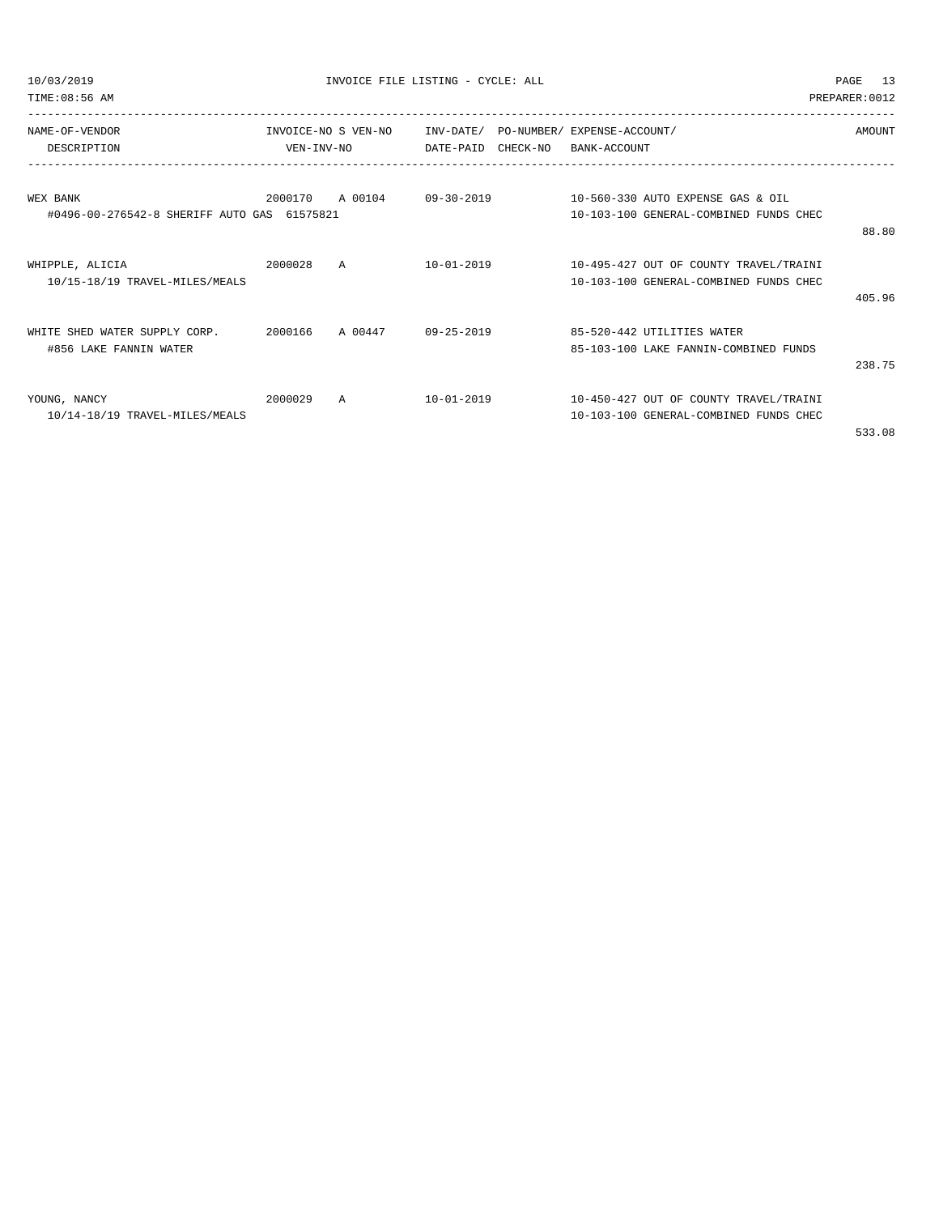|  | 10/03/2019 |  |
|--|------------|--|
|  |            |  |

TIME:08:56 AM PREPARER:0012

| NAME-OF-VENDOR                              | INVOICE-NO S VEN-NO |                | INV-DATE/        | PO-NUMBER/ | EXPENSE-ACCOUNT/                       | AMOUNT |
|---------------------------------------------|---------------------|----------------|------------------|------------|----------------------------------------|--------|
| DESCRIPTION                                 | VEN-INV-NO          |                | DATE-PAID        | CHECK-NO   | BANK-ACCOUNT                           |        |
|                                             |                     |                |                  |            |                                        |        |
| WEX BANK                                    | 2000170             | A 00104        | $09 - 30 - 2019$ |            | 10-560-330 AUTO EXPENSE GAS & OIL      |        |
| #0496-00-276542-8 SHERIFF AUTO GAS 61575821 |                     |                |                  |            | 10-103-100 GENERAL-COMBINED FUNDS CHEC |        |
|                                             |                     |                |                  |            |                                        | 88.80  |
| WHIPPLE, ALICIA                             | 2000028             | $\overline{A}$ | $10 - 01 - 2019$ |            | 10-495-427 OUT OF COUNTY TRAVEL/TRAINI |        |
| 10/15-18/19 TRAVEL-MILES/MEALS              |                     |                |                  |            | 10-103-100 GENERAL-COMBINED FUNDS CHEC |        |
|                                             |                     |                |                  |            |                                        | 405.96 |
| SHED WATER SUPPLY CORP.<br><b>WHTTE</b>     | 2000166             | A 00447        | $09 - 25 - 2019$ |            | 85-520-442 UTILITIES WATER             |        |
| #856 LAKE FANNIN WATER                      |                     |                |                  |            | 85-103-100 LAKE FANNIN-COMBINED FUNDS  |        |
|                                             |                     |                |                  |            |                                        | 238.75 |
| YOUNG, NANCY                                | 2000029             | A              | $10 - 01 - 2019$ |            | 10-450-427 OUT OF COUNTY TRAVEL/TRAINI |        |
| 10/14-18/19 TRAVEL-MILES/MEALS              |                     |                |                  |            | 10-103-100 GENERAL-COMBINED FUNDS CHEC |        |